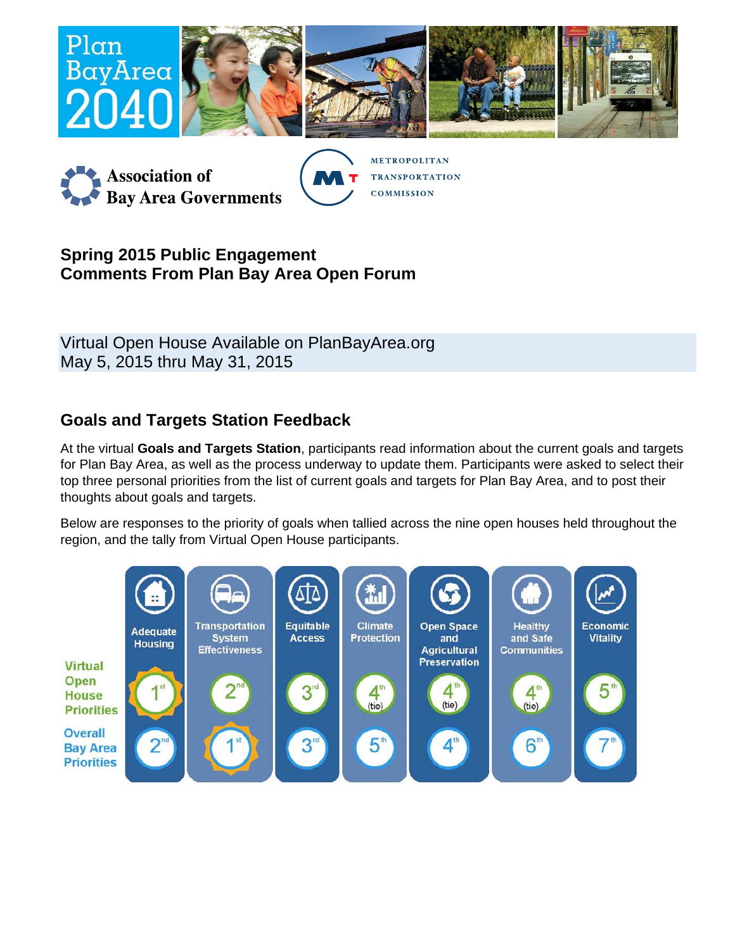



**METROPOLITAN TRANSPORTATION COMMISSION** 

## **Spring 2015 Public Engagement Comments From Plan Bay Area Open Forum**

Virtual Open House Available on PlanBayArea.org May 5, 2015 thru May 31, 2015

## **Goals and Targets Station Feedback**

At the virtual **Goals and Targets Station**, participants read information about the current goals and targets for Plan Bay Area, as well as the process underway to update them. Participants were asked to select their top three personal priorities from the list of current goals and targets for Plan Bay Area, and to post their thoughts about goals and targets.

Below are responses to the priority of goals when tallied across the nine open houses held throughout the region, and the tally from Virtual Open House participants.

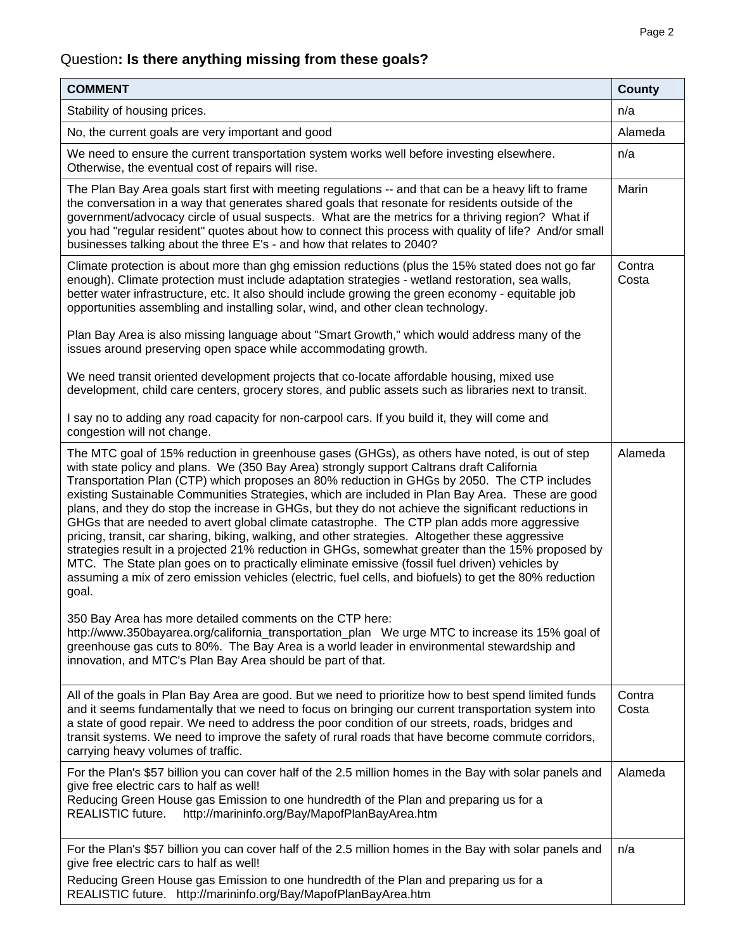# Question**: Is there anything missing from these goals?**

| <b>COMMENT</b>                                                                                                                                                                                                                                                                                                                                                                                                                                                                                                                                                                                                                                                                                                                                                                                                                                                                                                                                                                                                                                                                                                                                                                                                                                                                                                                                                    | County          |
|-------------------------------------------------------------------------------------------------------------------------------------------------------------------------------------------------------------------------------------------------------------------------------------------------------------------------------------------------------------------------------------------------------------------------------------------------------------------------------------------------------------------------------------------------------------------------------------------------------------------------------------------------------------------------------------------------------------------------------------------------------------------------------------------------------------------------------------------------------------------------------------------------------------------------------------------------------------------------------------------------------------------------------------------------------------------------------------------------------------------------------------------------------------------------------------------------------------------------------------------------------------------------------------------------------------------------------------------------------------------|-----------------|
| Stability of housing prices.                                                                                                                                                                                                                                                                                                                                                                                                                                                                                                                                                                                                                                                                                                                                                                                                                                                                                                                                                                                                                                                                                                                                                                                                                                                                                                                                      | n/a             |
| No, the current goals are very important and good                                                                                                                                                                                                                                                                                                                                                                                                                                                                                                                                                                                                                                                                                                                                                                                                                                                                                                                                                                                                                                                                                                                                                                                                                                                                                                                 | Alameda         |
| We need to ensure the current transportation system works well before investing elsewhere.<br>Otherwise, the eventual cost of repairs will rise.                                                                                                                                                                                                                                                                                                                                                                                                                                                                                                                                                                                                                                                                                                                                                                                                                                                                                                                                                                                                                                                                                                                                                                                                                  | n/a             |
| The Plan Bay Area goals start first with meeting regulations -- and that can be a heavy lift to frame<br>the conversation in a way that generates shared goals that resonate for residents outside of the<br>government/advocacy circle of usual suspects. What are the metrics for a thriving region? What if<br>you had "regular resident" quotes about how to connect this process with quality of life? And/or small<br>businesses talking about the three E's - and how that relates to 2040?                                                                                                                                                                                                                                                                                                                                                                                                                                                                                                                                                                                                                                                                                                                                                                                                                                                                | Marin           |
| Climate protection is about more than ghg emission reductions (plus the 15% stated does not go far<br>enough). Climate protection must include adaptation strategies - wetland restoration, sea walls,<br>better water infrastructure, etc. It also should include growing the green economy - equitable job<br>opportunities assembling and installing solar, wind, and other clean technology.                                                                                                                                                                                                                                                                                                                                                                                                                                                                                                                                                                                                                                                                                                                                                                                                                                                                                                                                                                  | Contra<br>Costa |
| Plan Bay Area is also missing language about "Smart Growth," which would address many of the<br>issues around preserving open space while accommodating growth.                                                                                                                                                                                                                                                                                                                                                                                                                                                                                                                                                                                                                                                                                                                                                                                                                                                                                                                                                                                                                                                                                                                                                                                                   |                 |
| We need transit oriented development projects that co-locate affordable housing, mixed use<br>development, child care centers, grocery stores, and public assets such as libraries next to transit.                                                                                                                                                                                                                                                                                                                                                                                                                                                                                                                                                                                                                                                                                                                                                                                                                                                                                                                                                                                                                                                                                                                                                               |                 |
| I say no to adding any road capacity for non-carpool cars. If you build it, they will come and<br>congestion will not change.                                                                                                                                                                                                                                                                                                                                                                                                                                                                                                                                                                                                                                                                                                                                                                                                                                                                                                                                                                                                                                                                                                                                                                                                                                     |                 |
| The MTC goal of 15% reduction in greenhouse gases (GHGs), as others have noted, is out of step<br>with state policy and plans. We (350 Bay Area) strongly support Caltrans draft California<br>Transportation Plan (CTP) which proposes an 80% reduction in GHGs by 2050. The CTP includes<br>existing Sustainable Communities Strategies, which are included in Plan Bay Area. These are good<br>plans, and they do stop the increase in GHGs, but they do not achieve the significant reductions in<br>GHGs that are needed to avert global climate catastrophe. The CTP plan adds more aggressive<br>pricing, transit, car sharing, biking, walking, and other strategies. Altogether these aggressive<br>strategies result in a projected 21% reduction in GHGs, somewhat greater than the 15% proposed by<br>MTC. The State plan goes on to practically eliminate emissive (fossil fuel driven) vehicles by<br>assuming a mix of zero emission vehicles (electric, fuel cells, and biofuels) to get the 80% reduction<br>goal.<br>350 Bay Area has more detailed comments on the CTP here:<br>http://www.350bayarea.org/california_transportation_plan We urge MTC to increase its 15% goal of<br>greenhouse gas cuts to 80%. The Bay Area is a world leader in environmental stewardship and<br>innovation, and MTC's Plan Bay Area should be part of that. | Alameda         |
| All of the goals in Plan Bay Area are good. But we need to prioritize how to best spend limited funds<br>and it seems fundamentally that we need to focus on bringing our current transportation system into<br>a state of good repair. We need to address the poor condition of our streets, roads, bridges and<br>transit systems. We need to improve the safety of rural roads that have become commute corridors,<br>carrying heavy volumes of traffic.                                                                                                                                                                                                                                                                                                                                                                                                                                                                                                                                                                                                                                                                                                                                                                                                                                                                                                       | Contra<br>Costa |
| For the Plan's \$57 billion you can cover half of the 2.5 million homes in the Bay with solar panels and<br>give free electric cars to half as well!<br>Reducing Green House gas Emission to one hundredth of the Plan and preparing us for a<br>http://marininfo.org/Bay/MapofPlanBayArea.htm<br>REALISTIC future.                                                                                                                                                                                                                                                                                                                                                                                                                                                                                                                                                                                                                                                                                                                                                                                                                                                                                                                                                                                                                                               | Alameda         |
| For the Plan's \$57 billion you can cover half of the 2.5 million homes in the Bay with solar panels and<br>give free electric cars to half as well!<br>Reducing Green House gas Emission to one hundredth of the Plan and preparing us for a<br>REALISTIC future. http://marininfo.org/Bay/MapofPlanBayArea.htm                                                                                                                                                                                                                                                                                                                                                                                                                                                                                                                                                                                                                                                                                                                                                                                                                                                                                                                                                                                                                                                  | n/a             |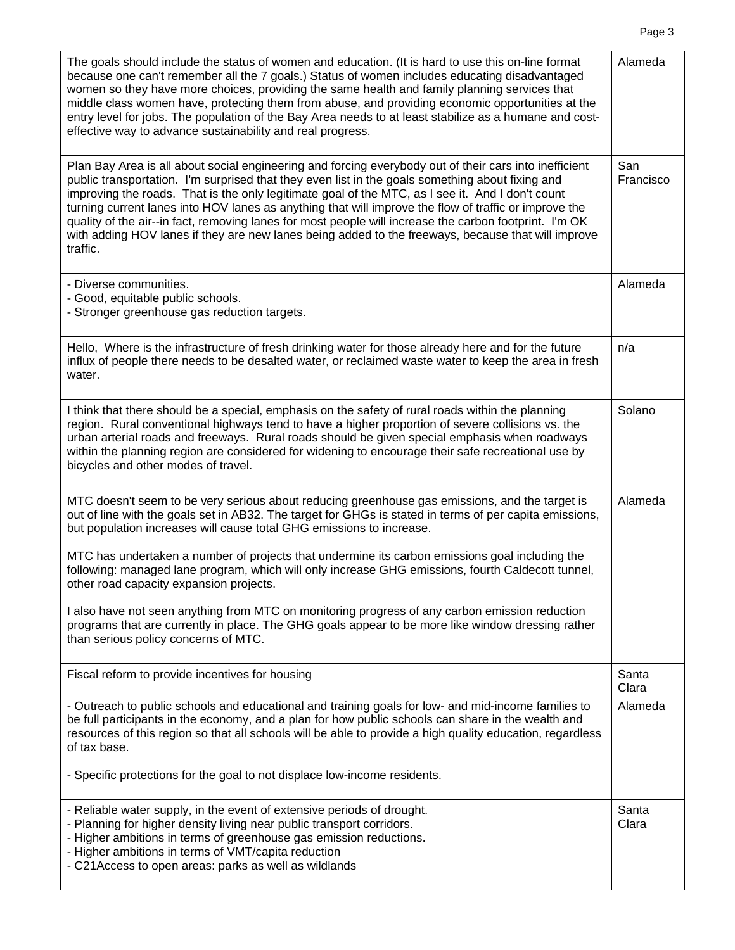| The goals should include the status of women and education. (It is hard to use this on-line format<br>because one can't remember all the 7 goals.) Status of women includes educating disadvantaged<br>women so they have more choices, providing the same health and family planning services that<br>middle class women have, protecting them from abuse, and providing economic opportunities at the<br>entry level for jobs. The population of the Bay Area needs to at least stabilize as a humane and cost-<br>effective way to advance sustainability and real progress.                                                                     | Alameda          |
|-----------------------------------------------------------------------------------------------------------------------------------------------------------------------------------------------------------------------------------------------------------------------------------------------------------------------------------------------------------------------------------------------------------------------------------------------------------------------------------------------------------------------------------------------------------------------------------------------------------------------------------------------------|------------------|
| Plan Bay Area is all about social engineering and forcing everybody out of their cars into inefficient<br>public transportation. I'm surprised that they even list in the goals something about fixing and<br>improving the roads. That is the only legitimate goal of the MTC, as I see it. And I don't count<br>turning current lanes into HOV lanes as anything that will improve the flow of traffic or improve the<br>quality of the air--in fact, removing lanes for most people will increase the carbon footprint. I'm OK<br>with adding HOV lanes if they are new lanes being added to the freeways, because that will improve<br>traffic. | San<br>Francisco |
| - Diverse communities.<br>- Good, equitable public schools.<br>- Stronger greenhouse gas reduction targets.                                                                                                                                                                                                                                                                                                                                                                                                                                                                                                                                         | Alameda          |
| Hello, Where is the infrastructure of fresh drinking water for those already here and for the future<br>influx of people there needs to be desalted water, or reclaimed waste water to keep the area in fresh<br>water.                                                                                                                                                                                                                                                                                                                                                                                                                             | n/a              |
| I think that there should be a special, emphasis on the safety of rural roads within the planning<br>region. Rural conventional highways tend to have a higher proportion of severe collisions vs. the<br>urban arterial roads and freeways. Rural roads should be given special emphasis when roadways<br>within the planning region are considered for widening to encourage their safe recreational use by<br>bicycles and other modes of travel.                                                                                                                                                                                                | Solano           |
| MTC doesn't seem to be very serious about reducing greenhouse gas emissions, and the target is<br>out of line with the goals set in AB32. The target for GHGs is stated in terms of per capita emissions,<br>but population increases will cause total GHG emissions to increase.                                                                                                                                                                                                                                                                                                                                                                   | Alameda          |
| MTC has undertaken a number of projects that undermine its carbon emissions goal including the<br>following: managed lane program, which will only increase GHG emissions, fourth Caldecott tunnel,<br>other road capacity expansion projects.                                                                                                                                                                                                                                                                                                                                                                                                      |                  |
| I also have not seen anything from MTC on monitoring progress of any carbon emission reduction<br>programs that are currently in place. The GHG goals appear to be more like window dressing rather<br>than serious policy concerns of MTC.                                                                                                                                                                                                                                                                                                                                                                                                         |                  |
| Fiscal reform to provide incentives for housing                                                                                                                                                                                                                                                                                                                                                                                                                                                                                                                                                                                                     | Santa<br>Clara   |
| - Outreach to public schools and educational and training goals for low- and mid-income families to<br>be full participants in the economy, and a plan for how public schools can share in the wealth and<br>resources of this region so that all schools will be able to provide a high quality education, regardless<br>of tax base.<br>- Specific protections for the goal to not displace low-income residents.                                                                                                                                                                                                                                 | Alameda          |
|                                                                                                                                                                                                                                                                                                                                                                                                                                                                                                                                                                                                                                                     |                  |
| - Reliable water supply, in the event of extensive periods of drought.<br>- Planning for higher density living near public transport corridors.<br>- Higher ambitions in terms of greenhouse gas emission reductions.<br>- Higher ambitions in terms of VMT/capita reduction<br>- C21Access to open areas: parks as well as wildlands                                                                                                                                                                                                                                                                                                               | Santa<br>Clara   |

Page 3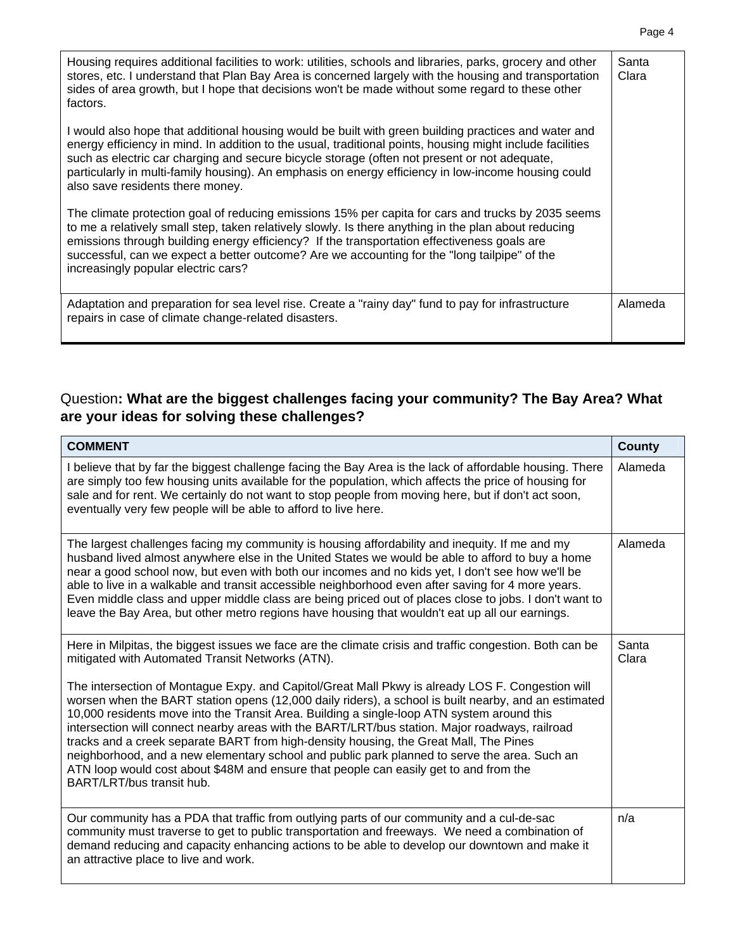| Housing requires additional facilities to work: utilities, schools and libraries, parks, grocery and other<br>stores, etc. I understand that Plan Bay Area is concerned largely with the housing and transportation<br>sides of area growth, but I hope that decisions won't be made without some regard to these other<br>factors.                                                                                                                          | Santa<br>Clara |
|--------------------------------------------------------------------------------------------------------------------------------------------------------------------------------------------------------------------------------------------------------------------------------------------------------------------------------------------------------------------------------------------------------------------------------------------------------------|----------------|
| I would also hope that additional housing would be built with green building practices and water and<br>energy efficiency in mind. In addition to the usual, traditional points, housing might include facilities<br>such as electric car charging and secure bicycle storage (often not present or not adequate,<br>particularly in multi-family housing). An emphasis on energy efficiency in low-income housing could<br>also save residents there money. |                |
| The climate protection goal of reducing emissions 15% per capita for cars and trucks by 2035 seems<br>to me a relatively small step, taken relatively slowly. Is there anything in the plan about reducing<br>emissions through building energy efficiency? If the transportation effectiveness goals are<br>successful, can we expect a better outcome? Are we accounting for the "long tailpipe" of the<br>increasingly popular electric cars?             |                |
| Adaptation and preparation for sea level rise. Create a "rainy day" fund to pay for infrastructure<br>repairs in case of climate change-related disasters.                                                                                                                                                                                                                                                                                                   | Alameda        |

#### Question**: What are the biggest challenges facing your community? The Bay Area? What are your ideas for solving these challenges?**

| <b>COMMENT</b>                                                                                                                                                                                                                                                                                                                                                                                                                                                                                                                                                                                                                                                                                                                                                                                                                                                                         | <b>County</b>  |
|----------------------------------------------------------------------------------------------------------------------------------------------------------------------------------------------------------------------------------------------------------------------------------------------------------------------------------------------------------------------------------------------------------------------------------------------------------------------------------------------------------------------------------------------------------------------------------------------------------------------------------------------------------------------------------------------------------------------------------------------------------------------------------------------------------------------------------------------------------------------------------------|----------------|
| I believe that by far the biggest challenge facing the Bay Area is the lack of affordable housing. There<br>are simply too few housing units available for the population, which affects the price of housing for<br>sale and for rent. We certainly do not want to stop people from moving here, but if don't act soon,<br>eventually very few people will be able to afford to live here.                                                                                                                                                                                                                                                                                                                                                                                                                                                                                            | Alameda        |
| The largest challenges facing my community is housing affordability and inequity. If me and my<br>husband lived almost anywhere else in the United States we would be able to afford to buy a home<br>near a good school now, but even with both our incomes and no kids yet, I don't see how we'll be<br>able to live in a walkable and transit accessible neighborhood even after saving for 4 more years.<br>Even middle class and upper middle class are being priced out of places close to jobs. I don't want to<br>leave the Bay Area, but other metro regions have housing that wouldn't eat up all our earnings.                                                                                                                                                                                                                                                              | Alameda        |
| Here in Milpitas, the biggest issues we face are the climate crisis and traffic congestion. Both can be<br>mitigated with Automated Transit Networks (ATN).<br>The intersection of Montague Expy. and Capitol/Great Mall Pkwy is already LOS F. Congestion will<br>worsen when the BART station opens (12,000 daily riders), a school is built nearby, and an estimated<br>10,000 residents move into the Transit Area. Building a single-loop ATN system around this<br>intersection will connect nearby areas with the BART/LRT/bus station. Major roadways, railroad<br>tracks and a creek separate BART from high-density housing, the Great Mall, The Pines<br>neighborhood, and a new elementary school and public park planned to serve the area. Such an<br>ATN loop would cost about \$48M and ensure that people can easily get to and from the<br>BART/LRT/bus transit hub. | Santa<br>Clara |
| Our community has a PDA that traffic from outlying parts of our community and a cul-de-sac<br>community must traverse to get to public transportation and freeways. We need a combination of<br>demand reducing and capacity enhancing actions to be able to develop our downtown and make it<br>an attractive place to live and work.                                                                                                                                                                                                                                                                                                                                                                                                                                                                                                                                                 | n/a            |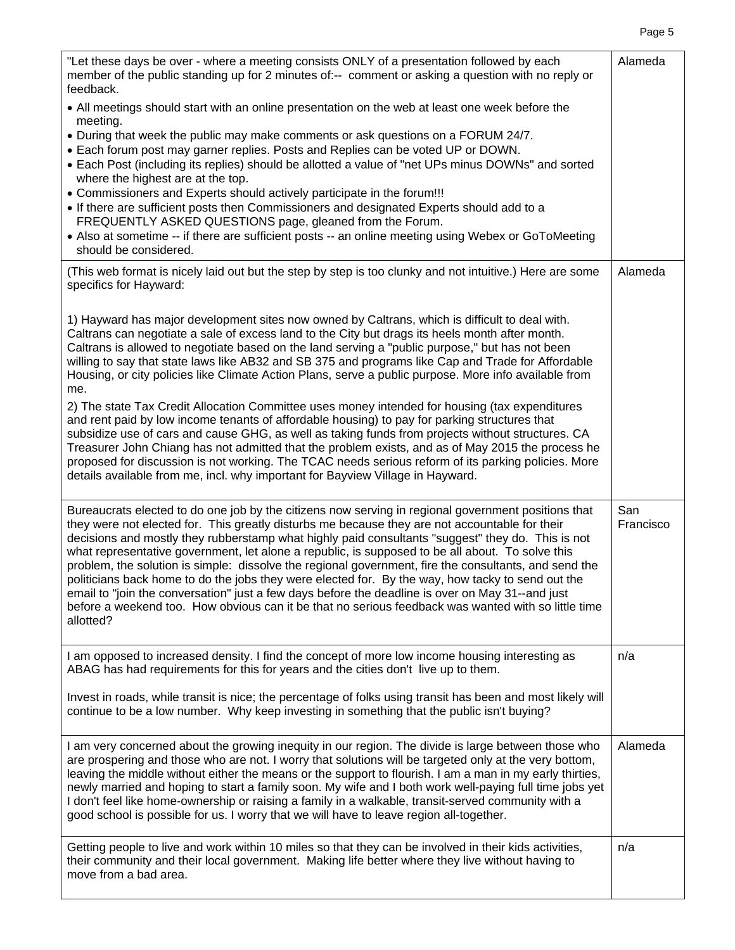|--|--|

| "Let these days be over - where a meeting consists ONLY of a presentation followed by each<br>member of the public standing up for 2 minutes of:-- comment or asking a question with no reply or<br>feedback.<br>• All meetings should start with an online presentation on the web at least one week before the                                                                                                                                                                                                                                                                                                                                                                                                                                                                                                                                     | Alameda          |
|------------------------------------------------------------------------------------------------------------------------------------------------------------------------------------------------------------------------------------------------------------------------------------------------------------------------------------------------------------------------------------------------------------------------------------------------------------------------------------------------------------------------------------------------------------------------------------------------------------------------------------------------------------------------------------------------------------------------------------------------------------------------------------------------------------------------------------------------------|------------------|
| meeting.<br>. During that week the public may make comments or ask questions on a FORUM 24/7.<br>. Each forum post may garner replies. Posts and Replies can be voted UP or DOWN.                                                                                                                                                                                                                                                                                                                                                                                                                                                                                                                                                                                                                                                                    |                  |
| • Each Post (including its replies) should be allotted a value of "net UPs minus DOWNs" and sorted<br>where the highest are at the top.<br>• Commissioners and Experts should actively participate in the forum!!!                                                                                                                                                                                                                                                                                                                                                                                                                                                                                                                                                                                                                                   |                  |
| • If there are sufficient posts then Commissioners and designated Experts should add to a<br>FREQUENTLY ASKED QUESTIONS page, gleaned from the Forum.                                                                                                                                                                                                                                                                                                                                                                                                                                                                                                                                                                                                                                                                                                |                  |
| • Also at sometime -- if there are sufficient posts -- an online meeting using Webex or GoToMeeting<br>should be considered.                                                                                                                                                                                                                                                                                                                                                                                                                                                                                                                                                                                                                                                                                                                         |                  |
| (This web format is nicely laid out but the step by step is too clunky and not intuitive.) Here are some<br>specifics for Hayward:                                                                                                                                                                                                                                                                                                                                                                                                                                                                                                                                                                                                                                                                                                                   | Alameda          |
| 1) Hayward has major development sites now owned by Caltrans, which is difficult to deal with.<br>Caltrans can negotiate a sale of excess land to the City but drags its heels month after month.<br>Caltrans is allowed to negotiate based on the land serving a "public purpose," but has not been<br>willing to say that state laws like AB32 and SB 375 and programs like Cap and Trade for Affordable<br>Housing, or city policies like Climate Action Plans, serve a public purpose. More info available from<br>me.                                                                                                                                                                                                                                                                                                                           |                  |
| 2) The state Tax Credit Allocation Committee uses money intended for housing (tax expenditures<br>and rent paid by low income tenants of affordable housing) to pay for parking structures that<br>subsidize use of cars and cause GHG, as well as taking funds from projects without structures. CA<br>Treasurer John Chiang has not admitted that the problem exists, and as of May 2015 the process he<br>proposed for discussion is not working. The TCAC needs serious reform of its parking policies. More<br>details available from me, incl. why important for Bayview Village in Hayward.                                                                                                                                                                                                                                                   |                  |
| Bureaucrats elected to do one job by the citizens now serving in regional government positions that<br>they were not elected for. This greatly disturbs me because they are not accountable for their<br>decisions and mostly they rubberstamp what highly paid consultants "suggest" they do. This is not<br>what representative government, let alone a republic, is supposed to be all about. To solve this<br>problem, the solution is simple: dissolve the regional government, fire the consultants, and send the<br>politicians back home to do the jobs they were elected for. By the way, how tacky to send out the<br>email to "join the conversation" just a few days before the deadline is over on May 31--and just<br>before a weekend too. How obvious can it be that no serious feedback was wanted with so little time<br>allotted? | San<br>Francisco |
| I am opposed to increased density. I find the concept of more low income housing interesting as<br>ABAG has had requirements for this for years and the cities don't live up to them.                                                                                                                                                                                                                                                                                                                                                                                                                                                                                                                                                                                                                                                                | n/a              |
| Invest in roads, while transit is nice; the percentage of folks using transit has been and most likely will<br>continue to be a low number. Why keep investing in something that the public isn't buying?                                                                                                                                                                                                                                                                                                                                                                                                                                                                                                                                                                                                                                            |                  |
| I am very concerned about the growing inequity in our region. The divide is large between those who<br>are prospering and those who are not. I worry that solutions will be targeted only at the very bottom,<br>leaving the middle without either the means or the support to flourish. I am a man in my early thirties,<br>newly married and hoping to start a family soon. My wife and I both work well-paying full time jobs yet<br>I don't feel like home-ownership or raising a family in a walkable, transit-served community with a<br>good school is possible for us. I worry that we will have to leave region all-together.                                                                                                                                                                                                               | Alameda          |
| Getting people to live and work within 10 miles so that they can be involved in their kids activities,<br>their community and their local government. Making life better where they live without having to<br>move from a bad area.                                                                                                                                                                                                                                                                                                                                                                                                                                                                                                                                                                                                                  | n/a              |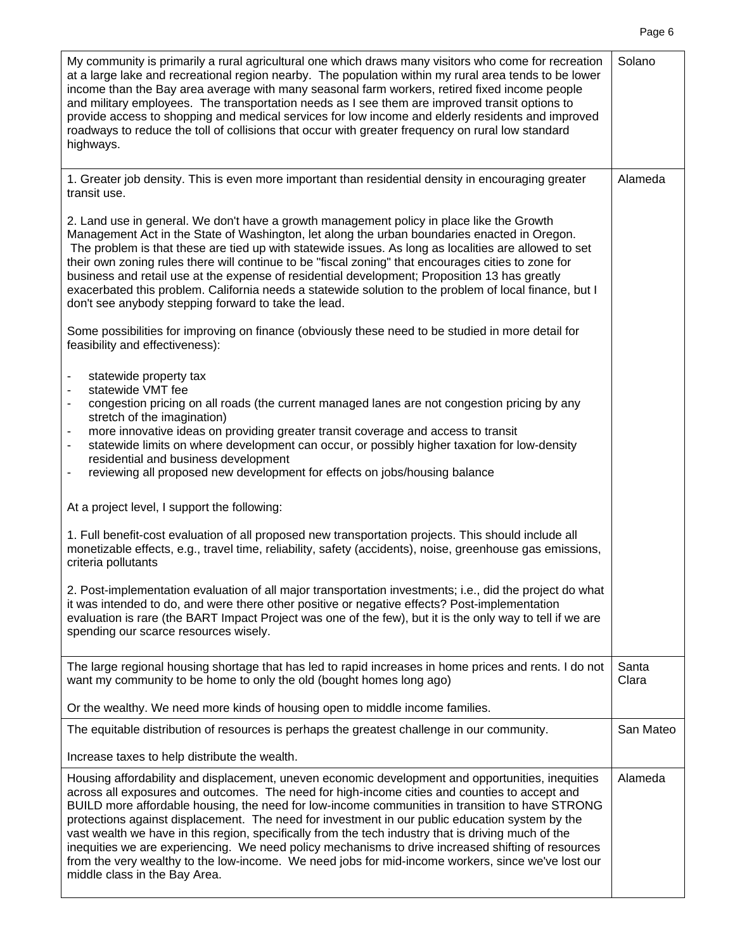My community is primarily a rural agricultural one which draws many visitors who come for recreation at a large lake and recreational region nearby. The population within my rural area tends to be lower income than the Bay area average with many seasonal farm workers, retired fixed income people and military employees. The transportation needs as I see them are improved transit options to provide access to shopping and medical services for low income and elderly residents and improved roadways to reduce the toll of collisions that occur with greater frequency on rural low standard highways. Solano 1. Greater job density. This is even more important than residential density in encouraging greater transit use. 2. Land use in general. We don't have a growth management policy in place like the Growth Management Act in the State of Washington, let along the urban boundaries enacted in Oregon. The problem is that these are tied up with statewide issues. As long as localities are allowed to set their own zoning rules there will continue to be "fiscal zoning" that encourages cities to zone for business and retail use at the expense of residential development; Proposition 13 has greatly exacerbated this problem. California needs a statewide solution to the problem of local finance, but I don't see anybody stepping forward to take the lead. Some possibilities for improving on finance (obviously these need to be studied in more detail for feasibility and effectiveness): statewide property tax statewide VMT fee - congestion pricing on all roads (the current managed lanes are not congestion pricing by any stretch of the imagination) more innovative ideas on providing greater transit coverage and access to transit statewide limits on where development can occur, or possibly higher taxation for low-density residential and business development reviewing all proposed new development for effects on jobs/housing balance At a project level, I support the following: 1. Full benefit-cost evaluation of all proposed new transportation projects. This should include all monetizable effects, e.g., travel time, reliability, safety (accidents), noise, greenhouse gas emissions, criteria pollutants 2. Post-implementation evaluation of all major transportation investments; i.e., did the project do what it was intended to do, and were there other positive or negative effects? Post-implementation evaluation is rare (the BART Impact Project was one of the few), but it is the only way to tell if we are spending our scarce resources wisely. Alameda The large regional housing shortage that has led to rapid increases in home prices and rents. I do not want my community to be home to only the old (bought homes long ago) Or the wealthy. We need more kinds of housing open to middle income families. Santa Clara The equitable distribution of resources is perhaps the greatest challenge in our community. Increase taxes to help distribute the wealth. San Mateo Housing affordability and displacement, uneven economic development and opportunities, inequities across all exposures and outcomes. The need for high-income cities and counties to accept and BUILD more affordable housing, the need for low-income communities in transition to have STRONG protections against displacement. The need for investment in our public education system by the vast wealth we have in this region, specifically from the tech industry that is driving much of the inequities we are experiencing. We need policy mechanisms to drive increased shifting of resources from the very wealthy to the low-income. We need jobs for mid-income workers, since we've lost our Alameda

middle class in the Bay Area.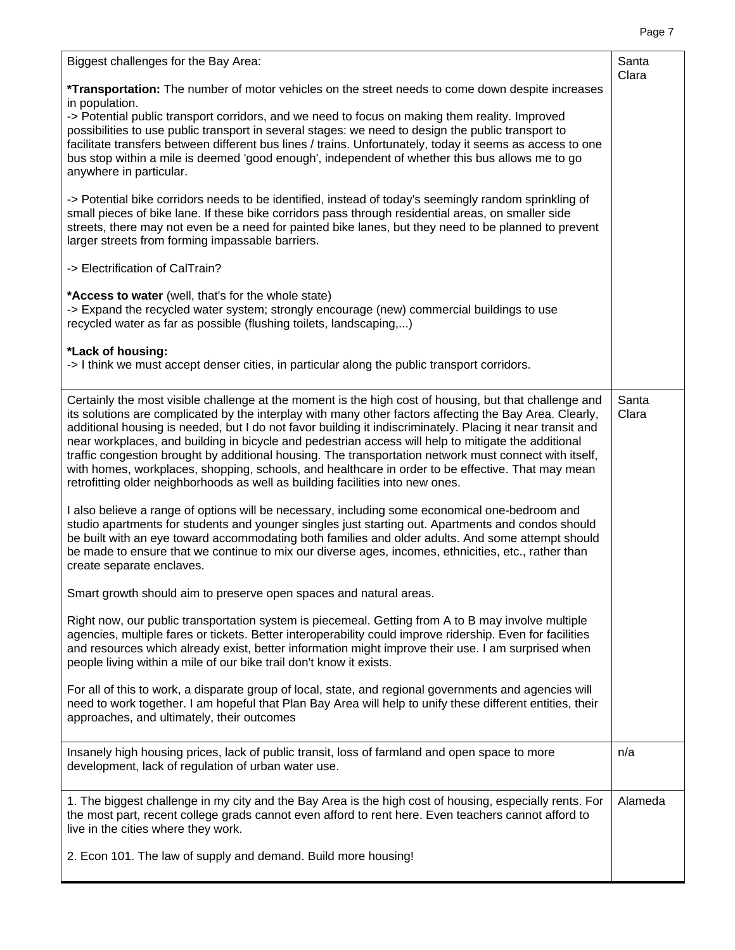| Biggest challenges for the Bay Area:                                                                                                                                                                                                                                                                                                                                                                                                                                                                                                                                                                                                                                                                                                    | Santa<br>Clara |
|-----------------------------------------------------------------------------------------------------------------------------------------------------------------------------------------------------------------------------------------------------------------------------------------------------------------------------------------------------------------------------------------------------------------------------------------------------------------------------------------------------------------------------------------------------------------------------------------------------------------------------------------------------------------------------------------------------------------------------------------|----------------|
| *Transportation: The number of motor vehicles on the street needs to come down despite increases<br>in population.                                                                                                                                                                                                                                                                                                                                                                                                                                                                                                                                                                                                                      |                |
| -> Potential public transport corridors, and we need to focus on making them reality. Improved<br>possibilities to use public transport in several stages: we need to design the public transport to<br>facilitate transfers between different bus lines / trains. Unfortunately, today it seems as access to one<br>bus stop within a mile is deemed 'good enough', independent of whether this bus allows me to go<br>anywhere in particular.                                                                                                                                                                                                                                                                                         |                |
| -> Potential bike corridors needs to be identified, instead of today's seemingly random sprinkling of<br>small pieces of bike lane. If these bike corridors pass through residential areas, on smaller side<br>streets, there may not even be a need for painted bike lanes, but they need to be planned to prevent<br>larger streets from forming impassable barriers.                                                                                                                                                                                                                                                                                                                                                                 |                |
| -> Electrification of CalTrain?                                                                                                                                                                                                                                                                                                                                                                                                                                                                                                                                                                                                                                                                                                         |                |
| *Access to water (well, that's for the whole state)<br>-> Expand the recycled water system; strongly encourage (new) commercial buildings to use<br>recycled water as far as possible (flushing toilets, landscaping,)                                                                                                                                                                                                                                                                                                                                                                                                                                                                                                                  |                |
| *Lack of housing:<br>-> I think we must accept denser cities, in particular along the public transport corridors.                                                                                                                                                                                                                                                                                                                                                                                                                                                                                                                                                                                                                       |                |
| Certainly the most visible challenge at the moment is the high cost of housing, but that challenge and<br>its solutions are complicated by the interplay with many other factors affecting the Bay Area. Clearly,<br>additional housing is needed, but I do not favor building it indiscriminately. Placing it near transit and<br>near workplaces, and building in bicycle and pedestrian access will help to mitigate the additional<br>traffic congestion brought by additional housing. The transportation network must connect with itself,<br>with homes, workplaces, shopping, schools, and healthcare in order to be effective. That may mean<br>retrofitting older neighborhoods as well as building facilities into new ones. | Santa<br>Clara |
| I also believe a range of options will be necessary, including some economical one-bedroom and<br>studio apartments for students and younger singles just starting out. Apartments and condos should<br>be built with an eye toward accommodating both families and older adults. And some attempt should<br>be made to ensure that we continue to mix our diverse ages, incomes, ethnicities, etc., rather than<br>create separate enclaves.                                                                                                                                                                                                                                                                                           |                |
| Smart growth should aim to preserve open spaces and natural areas.                                                                                                                                                                                                                                                                                                                                                                                                                                                                                                                                                                                                                                                                      |                |
| Right now, our public transportation system is piecemeal. Getting from A to B may involve multiple<br>agencies, multiple fares or tickets. Better interoperability could improve ridership. Even for facilities<br>and resources which already exist, better information might improve their use. I am surprised when<br>people living within a mile of our bike trail don't know it exists.                                                                                                                                                                                                                                                                                                                                            |                |
| For all of this to work, a disparate group of local, state, and regional governments and agencies will<br>need to work together. I am hopeful that Plan Bay Area will help to unify these different entities, their<br>approaches, and ultimately, their outcomes                                                                                                                                                                                                                                                                                                                                                                                                                                                                       |                |
| Insanely high housing prices, lack of public transit, loss of farmland and open space to more<br>development, lack of regulation of urban water use.                                                                                                                                                                                                                                                                                                                                                                                                                                                                                                                                                                                    | n/a            |
| 1. The biggest challenge in my city and the Bay Area is the high cost of housing, especially rents. For<br>the most part, recent college grads cannot even afford to rent here. Even teachers cannot afford to<br>live in the cities where they work.                                                                                                                                                                                                                                                                                                                                                                                                                                                                                   | Alameda        |
| 2. Econ 101. The law of supply and demand. Build more housing!                                                                                                                                                                                                                                                                                                                                                                                                                                                                                                                                                                                                                                                                          |                |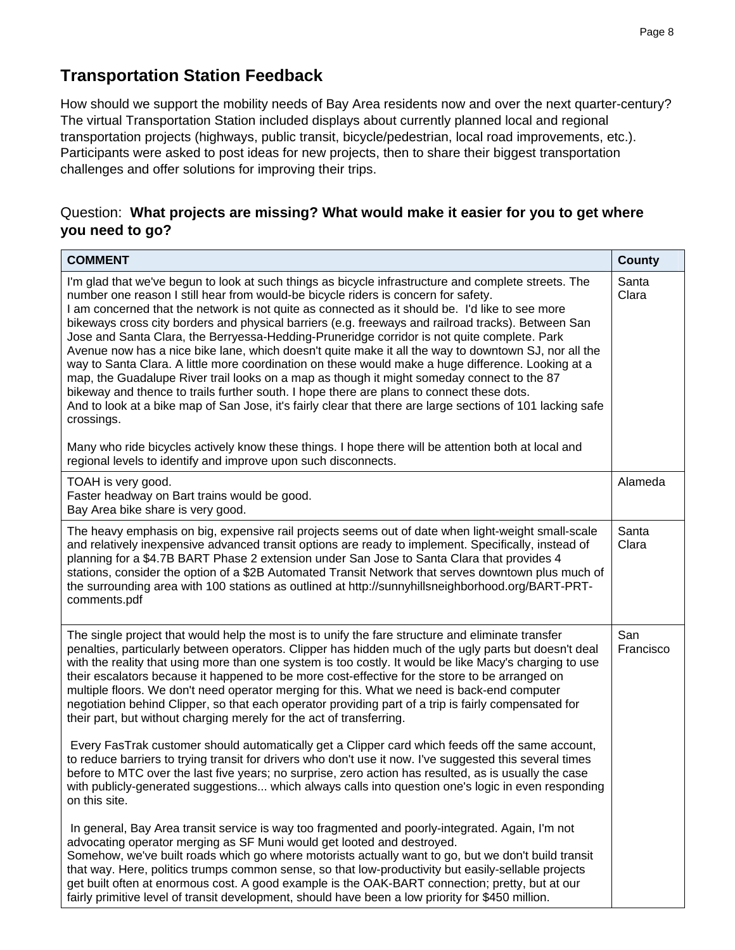## **Transportation Station Feedback**

How should we support the mobility needs of Bay Area residents now and over the next quarter-century? The virtual Transportation Station included displays about currently planned local and regional transportation projects (highways, public transit, bicycle/pedestrian, local road improvements, etc.). Participants were asked to post ideas for new projects, then to share their biggest transportation challenges and offer solutions for improving their trips.

#### Question: **What projects are missing? What would make it easier for you to get where you need to go?**

| <b>COMMENT</b>                                                                                                                                                                                                                                                                                                                                                                                                                                                                                                                                                                                                                                                                                                                                                                                                                                                                                                                                                                                                                                                                                                                                 | <b>County</b>    |
|------------------------------------------------------------------------------------------------------------------------------------------------------------------------------------------------------------------------------------------------------------------------------------------------------------------------------------------------------------------------------------------------------------------------------------------------------------------------------------------------------------------------------------------------------------------------------------------------------------------------------------------------------------------------------------------------------------------------------------------------------------------------------------------------------------------------------------------------------------------------------------------------------------------------------------------------------------------------------------------------------------------------------------------------------------------------------------------------------------------------------------------------|------------------|
| I'm glad that we've begun to look at such things as bicycle infrastructure and complete streets. The<br>number one reason I still hear from would-be bicycle riders is concern for safety.<br>I am concerned that the network is not quite as connected as it should be. I'd like to see more<br>bikeways cross city borders and physical barriers (e.g. freeways and railroad tracks). Between San<br>Jose and Santa Clara, the Berryessa-Hedding-Pruneridge corridor is not quite complete. Park<br>Avenue now has a nice bike lane, which doesn't quite make it all the way to downtown SJ, nor all the<br>way to Santa Clara. A little more coordination on these would make a huge difference. Looking at a<br>map, the Guadalupe River trail looks on a map as though it might someday connect to the 87<br>bikeway and thence to trails further south. I hope there are plans to connect these dots.<br>And to look at a bike map of San Jose, it's fairly clear that there are large sections of 101 lacking safe<br>crossings.<br>Many who ride bicycles actively know these things. I hope there will be attention both at local and | Santa<br>Clara   |
| regional levels to identify and improve upon such disconnects.                                                                                                                                                                                                                                                                                                                                                                                                                                                                                                                                                                                                                                                                                                                                                                                                                                                                                                                                                                                                                                                                                 |                  |
| TOAH is very good.<br>Faster headway on Bart trains would be good.<br>Bay Area bike share is very good.                                                                                                                                                                                                                                                                                                                                                                                                                                                                                                                                                                                                                                                                                                                                                                                                                                                                                                                                                                                                                                        | Alameda          |
| The heavy emphasis on big, expensive rail projects seems out of date when light-weight small-scale<br>and relatively inexpensive advanced transit options are ready to implement. Specifically, instead of<br>planning for a \$4.7B BART Phase 2 extension under San Jose to Santa Clara that provides 4<br>stations, consider the option of a \$2B Automated Transit Network that serves downtown plus much of<br>the surrounding area with 100 stations as outlined at http://sunnyhillsneighborhood.org/BART-PRT-<br>comments.pdf                                                                                                                                                                                                                                                                                                                                                                                                                                                                                                                                                                                                           | Santa<br>Clara   |
| The single project that would help the most is to unify the fare structure and eliminate transfer<br>penalties, particularly between operators. Clipper has hidden much of the ugly parts but doesn't deal<br>with the reality that using more than one system is too costly. It would be like Macy's charging to use<br>their escalators because it happened to be more cost-effective for the store to be arranged on<br>multiple floors. We don't need operator merging for this. What we need is back-end computer<br>negotiation behind Clipper, so that each operator providing part of a trip is fairly compensated for<br>their part, but without charging merely for the act of transferring.<br>Every FasTrak customer should automatically get a Clipper card which feeds off the same account,<br>to reduce barriers to trying transit for drivers who don't use it now. I've suggested this several times                                                                                                                                                                                                                         | San<br>Francisco |
| before to MTC over the last five years; no surprise, zero action has resulted, as is usually the case<br>with publicly-generated suggestions which always calls into question one's logic in even responding<br>on this site.                                                                                                                                                                                                                                                                                                                                                                                                                                                                                                                                                                                                                                                                                                                                                                                                                                                                                                                  |                  |
| In general, Bay Area transit service is way too fragmented and poorly-integrated. Again, I'm not<br>advocating operator merging as SF Muni would get looted and destroyed.<br>Somehow, we've built roads which go where motorists actually want to go, but we don't build transit<br>that way. Here, politics trumps common sense, so that low-productivity but easily-sellable projects<br>get built often at enormous cost. A good example is the OAK-BART connection; pretty, but at our<br>fairly primitive level of transit development, should have been a low priority for \$450 million.                                                                                                                                                                                                                                                                                                                                                                                                                                                                                                                                               |                  |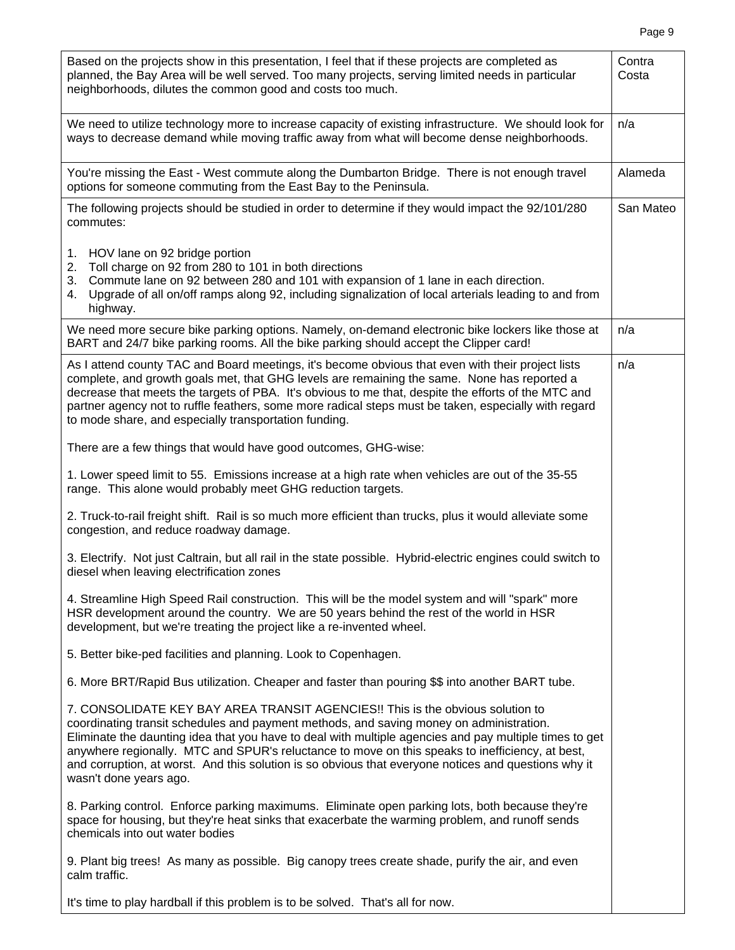| Based on the projects show in this presentation, I feel that if these projects are completed as<br>planned, the Bay Area will be well served. Too many projects, serving limited needs in particular<br>neighborhoods, dilutes the common good and costs too much.                                                                                                                                                                                                                                                       | Contra<br>Costa |
|--------------------------------------------------------------------------------------------------------------------------------------------------------------------------------------------------------------------------------------------------------------------------------------------------------------------------------------------------------------------------------------------------------------------------------------------------------------------------------------------------------------------------|-----------------|
| We need to utilize technology more to increase capacity of existing infrastructure. We should look for<br>ways to decrease demand while moving traffic away from what will become dense neighborhoods.                                                                                                                                                                                                                                                                                                                   | n/a             |
| You're missing the East - West commute along the Dumbarton Bridge. There is not enough travel<br>options for someone commuting from the East Bay to the Peninsula.                                                                                                                                                                                                                                                                                                                                                       | Alameda         |
| The following projects should be studied in order to determine if they would impact the 92/101/280<br>commutes:                                                                                                                                                                                                                                                                                                                                                                                                          | San Mateo       |
| 1. HOV lane on 92 bridge portion<br>Toll charge on 92 from 280 to 101 in both directions<br>2.<br>Commute lane on 92 between 280 and 101 with expansion of 1 lane in each direction.<br>3.<br>Upgrade of all on/off ramps along 92, including signalization of local arterials leading to and from<br>4.<br>highway.                                                                                                                                                                                                     |                 |
| We need more secure bike parking options. Namely, on-demand electronic bike lockers like those at<br>BART and 24/7 bike parking rooms. All the bike parking should accept the Clipper card!                                                                                                                                                                                                                                                                                                                              | n/a             |
| As I attend county TAC and Board meetings, it's become obvious that even with their project lists<br>complete, and growth goals met, that GHG levels are remaining the same. None has reported a<br>decrease that meets the targets of PBA. It's obvious to me that, despite the efforts of the MTC and<br>partner agency not to ruffle feathers, some more radical steps must be taken, especially with regard<br>to mode share, and especially transportation funding.                                                 | n/a             |
| There are a few things that would have good outcomes, GHG-wise:                                                                                                                                                                                                                                                                                                                                                                                                                                                          |                 |
| 1. Lower speed limit to 55. Emissions increase at a high rate when vehicles are out of the 35-55<br>range. This alone would probably meet GHG reduction targets.                                                                                                                                                                                                                                                                                                                                                         |                 |
| 2. Truck-to-rail freight shift. Rail is so much more efficient than trucks, plus it would alleviate some<br>congestion, and reduce roadway damage.                                                                                                                                                                                                                                                                                                                                                                       |                 |
| 3. Electrify. Not just Caltrain, but all rail in the state possible. Hybrid-electric engines could switch to<br>diesel when leaving electrification zones                                                                                                                                                                                                                                                                                                                                                                |                 |
| 4. Streamline High Speed Rail construction. This will be the model system and will "spark" more<br>HSR development around the country. We are 50 years behind the rest of the world in HSR<br>development, but we're treating the project like a re-invented wheel.                                                                                                                                                                                                                                                      |                 |
| 5. Better bike-ped facilities and planning. Look to Copenhagen.                                                                                                                                                                                                                                                                                                                                                                                                                                                          |                 |
| 6. More BRT/Rapid Bus utilization. Cheaper and faster than pouring \$\$ into another BART tube.                                                                                                                                                                                                                                                                                                                                                                                                                          |                 |
| 7. CONSOLIDATE KEY BAY AREA TRANSIT AGENCIES!! This is the obvious solution to<br>coordinating transit schedules and payment methods, and saving money on administration.<br>Eliminate the daunting idea that you have to deal with multiple agencies and pay multiple times to get<br>anywhere regionally. MTC and SPUR's reluctance to move on this speaks to inefficiency, at best,<br>and corruption, at worst. And this solution is so obvious that everyone notices and questions why it<br>wasn't done years ago. |                 |
| 8. Parking control. Enforce parking maximums. Eliminate open parking lots, both because they're<br>space for housing, but they're heat sinks that exacerbate the warming problem, and runoff sends<br>chemicals into out water bodies                                                                                                                                                                                                                                                                                    |                 |
| 9. Plant big trees! As many as possible. Big canopy trees create shade, purify the air, and even<br>calm traffic.                                                                                                                                                                                                                                                                                                                                                                                                        |                 |
| It's time to play hardball if this problem is to be solved. That's all for now.                                                                                                                                                                                                                                                                                                                                                                                                                                          |                 |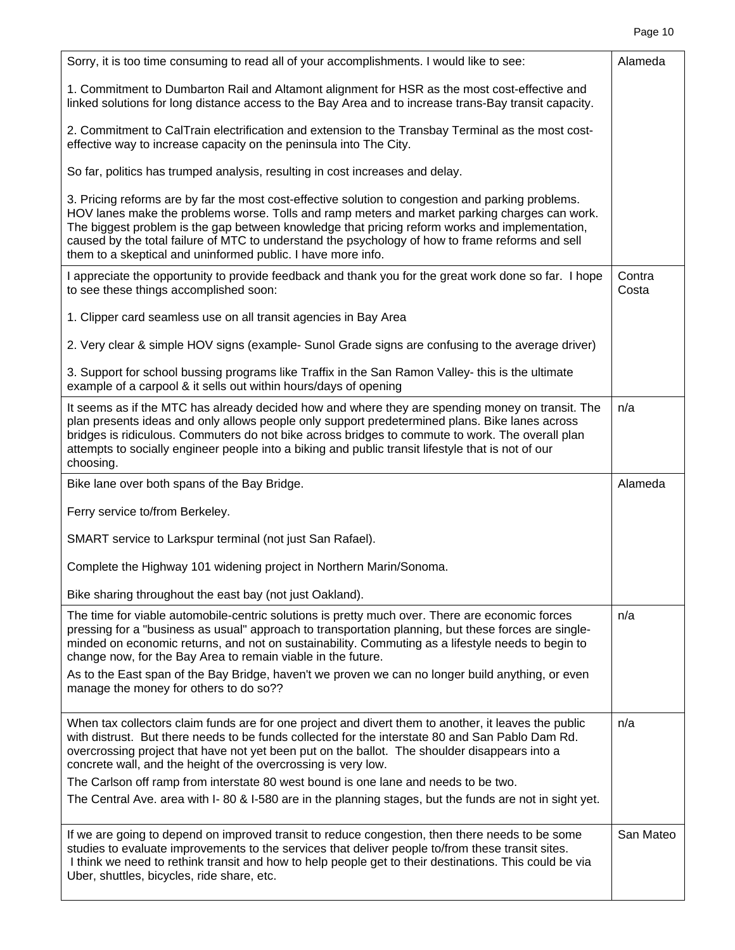| Sorry, it is too time consuming to read all of your accomplishments. I would like to see:                                                                                                                                                                                                                                                                                                                                                                                 | Alameda         |
|---------------------------------------------------------------------------------------------------------------------------------------------------------------------------------------------------------------------------------------------------------------------------------------------------------------------------------------------------------------------------------------------------------------------------------------------------------------------------|-----------------|
| 1. Commitment to Dumbarton Rail and Altamont alignment for HSR as the most cost-effective and<br>linked solutions for long distance access to the Bay Area and to increase trans-Bay transit capacity.                                                                                                                                                                                                                                                                    |                 |
| 2. Commitment to CalTrain electrification and extension to the Transbay Terminal as the most cost-<br>effective way to increase capacity on the peninsula into The City.                                                                                                                                                                                                                                                                                                  |                 |
| So far, politics has trumped analysis, resulting in cost increases and delay.                                                                                                                                                                                                                                                                                                                                                                                             |                 |
| 3. Pricing reforms are by far the most cost-effective solution to congestion and parking problems.<br>HOV lanes make the problems worse. Tolls and ramp meters and market parking charges can work.<br>The biggest problem is the gap between knowledge that pricing reform works and implementation,<br>caused by the total failure of MTC to understand the psychology of how to frame reforms and sell<br>them to a skeptical and uninformed public. I have more info. |                 |
| I appreciate the opportunity to provide feedback and thank you for the great work done so far. I hope<br>to see these things accomplished soon:                                                                                                                                                                                                                                                                                                                           | Contra<br>Costa |
| 1. Clipper card seamless use on all transit agencies in Bay Area                                                                                                                                                                                                                                                                                                                                                                                                          |                 |
| 2. Very clear & simple HOV signs (example- Sunol Grade signs are confusing to the average driver)                                                                                                                                                                                                                                                                                                                                                                         |                 |
| 3. Support for school bussing programs like Traffix in the San Ramon Valley- this is the ultimate<br>example of a carpool & it sells out within hours/days of opening                                                                                                                                                                                                                                                                                                     |                 |
| It seems as if the MTC has already decided how and where they are spending money on transit. The<br>plan presents ideas and only allows people only support predetermined plans. Bike lanes across<br>bridges is ridiculous. Commuters do not bike across bridges to commute to work. The overall plan<br>attempts to socially engineer people into a biking and public transit lifestyle that is not of our<br>choosing.                                                 | n/a             |
|                                                                                                                                                                                                                                                                                                                                                                                                                                                                           |                 |
| Bike lane over both spans of the Bay Bridge.                                                                                                                                                                                                                                                                                                                                                                                                                              | Alameda         |
| Ferry service to/from Berkeley.                                                                                                                                                                                                                                                                                                                                                                                                                                           |                 |
| SMART service to Larkspur terminal (not just San Rafael).                                                                                                                                                                                                                                                                                                                                                                                                                 |                 |
| Complete the Highway 101 widening project in Northern Marin/Sonoma.                                                                                                                                                                                                                                                                                                                                                                                                       |                 |
| Bike sharing throughout the east bay (not just Oakland).                                                                                                                                                                                                                                                                                                                                                                                                                  |                 |
| The time for viable automobile-centric solutions is pretty much over. There are economic forces<br>pressing for a "business as usual" approach to transportation planning, but these forces are single-<br>minded on economic returns, and not on sustainability. Commuting as a lifestyle needs to begin to<br>change now, for the Bay Area to remain viable in the future.                                                                                              | n/a             |
| As to the East span of the Bay Bridge, haven't we proven we can no longer build anything, or even<br>manage the money for others to do so??                                                                                                                                                                                                                                                                                                                               |                 |
| When tax collectors claim funds are for one project and divert them to another, it leaves the public<br>with distrust. But there needs to be funds collected for the interstate 80 and San Pablo Dam Rd.<br>overcrossing project that have not yet been put on the ballot. The shoulder disappears into a<br>concrete wall, and the height of the overcrossing is very low.                                                                                               | n/a             |
| The Carlson off ramp from interstate 80 west bound is one lane and needs to be two.                                                                                                                                                                                                                                                                                                                                                                                       |                 |
| The Central Ave. area with I-80 & I-580 are in the planning stages, but the funds are not in sight yet.                                                                                                                                                                                                                                                                                                                                                                   |                 |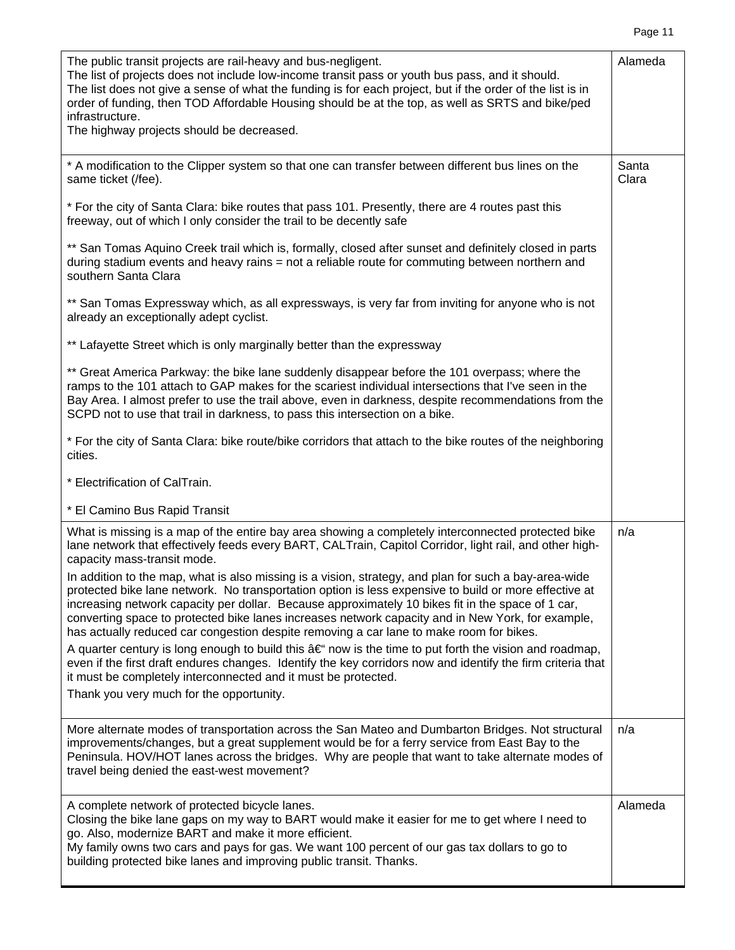|  | ĸ<br>ıc<br>н |  |
|--|--------------|--|
|--|--------------|--|

| The public transit projects are rail-heavy and bus-negligent.<br>The list of projects does not include low-income transit pass or youth bus pass, and it should.<br>The list does not give a sense of what the funding is for each project, but if the order of the list is in<br>order of funding, then TOD Affordable Housing should be at the top, as well as SRTS and bike/ped<br>infrastructure.<br>The highway projects should be decreased.                                                                  | Alameda        |
|---------------------------------------------------------------------------------------------------------------------------------------------------------------------------------------------------------------------------------------------------------------------------------------------------------------------------------------------------------------------------------------------------------------------------------------------------------------------------------------------------------------------|----------------|
| * A modification to the Clipper system so that one can transfer between different bus lines on the<br>same ticket (/fee).                                                                                                                                                                                                                                                                                                                                                                                           | Santa<br>Clara |
| * For the city of Santa Clara: bike routes that pass 101. Presently, there are 4 routes past this<br>freeway, out of which I only consider the trail to be decently safe                                                                                                                                                                                                                                                                                                                                            |                |
| ** San Tomas Aquino Creek trail which is, formally, closed after sunset and definitely closed in parts<br>during stadium events and heavy rains = not a reliable route for commuting between northern and<br>southern Santa Clara                                                                                                                                                                                                                                                                                   |                |
| ** San Tomas Expressway which, as all expressways, is very far from inviting for anyone who is not<br>already an exceptionally adept cyclist.                                                                                                                                                                                                                                                                                                                                                                       |                |
| ** Lafayette Street which is only marginally better than the expressway                                                                                                                                                                                                                                                                                                                                                                                                                                             |                |
| ** Great America Parkway: the bike lane suddenly disappear before the 101 overpass; where the<br>ramps to the 101 attach to GAP makes for the scariest individual intersections that I've seen in the<br>Bay Area. I almost prefer to use the trail above, even in darkness, despite recommendations from the<br>SCPD not to use that trail in darkness, to pass this intersection on a bike.                                                                                                                       |                |
| * For the city of Santa Clara: bike route/bike corridors that attach to the bike routes of the neighboring<br>cities.                                                                                                                                                                                                                                                                                                                                                                                               |                |
| * Electrification of CalTrain.                                                                                                                                                                                                                                                                                                                                                                                                                                                                                      |                |
| * El Camino Bus Rapid Transit                                                                                                                                                                                                                                                                                                                                                                                                                                                                                       |                |
| What is missing is a map of the entire bay area showing a completely interconnected protected bike<br>lane network that effectively feeds every BART, CALTrain, Capitol Corridor, light rail, and other high-<br>capacity mass-transit mode.                                                                                                                                                                                                                                                                        | n/a            |
| In addition to the map, what is also missing is a vision, strategy, and plan for such a bay-area-wide<br>protected bike lane network. No transportation option is less expensive to build or more effective at<br>increasing network capacity per dollar. Because approximately 10 bikes fit in the space of 1 car,<br>converting space to protected bike lanes increases network capacity and in New York, for example,<br>has actually reduced car congestion despite removing a car lane to make room for bikes. |                |
| A quarter century is long enough to build this $a \in \mathfrak{m}$ now is the time to put forth the vision and roadmap,<br>even if the first draft endures changes. Identify the key corridors now and identify the firm criteria that<br>it must be completely interconnected and it must be protected.                                                                                                                                                                                                           |                |
| Thank you very much for the opportunity.                                                                                                                                                                                                                                                                                                                                                                                                                                                                            |                |
| More alternate modes of transportation across the San Mateo and Dumbarton Bridges. Not structural<br>improvements/changes, but a great supplement would be for a ferry service from East Bay to the<br>Peninsula. HOV/HOT lanes across the bridges. Why are people that want to take alternate modes of<br>travel being denied the east-west movement?                                                                                                                                                              | n/a            |
| A complete network of protected bicycle lanes.<br>Closing the bike lane gaps on my way to BART would make it easier for me to get where I need to<br>go. Also, modernize BART and make it more efficient.<br>My family owns two cars and pays for gas. We want 100 percent of our gas tax dollars to go to<br>building protected bike lanes and improving public transit. Thanks.                                                                                                                                   | Alameda        |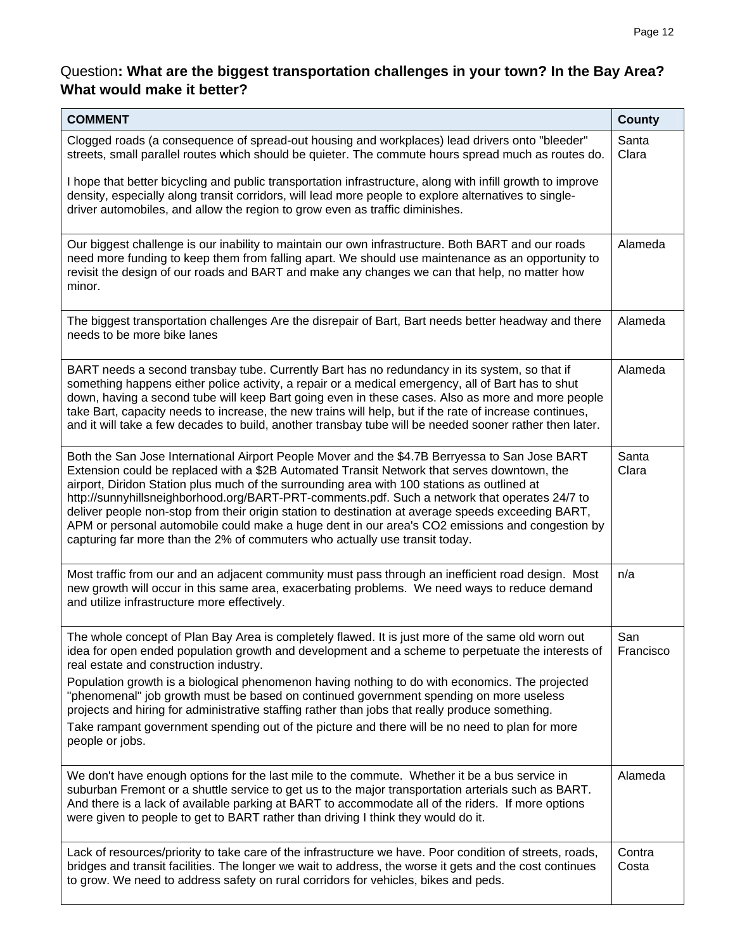#### Question**: What are the biggest transportation challenges in your town? In the Bay Area? What would make it better?**

| <b>COMMENT</b>                                                                                                                                                                                                                                                                                                                                                                                                                                                                                                                                                                                                                                                                        | <b>County</b>    |
|---------------------------------------------------------------------------------------------------------------------------------------------------------------------------------------------------------------------------------------------------------------------------------------------------------------------------------------------------------------------------------------------------------------------------------------------------------------------------------------------------------------------------------------------------------------------------------------------------------------------------------------------------------------------------------------|------------------|
| Clogged roads (a consequence of spread-out housing and workplaces) lead drivers onto "bleeder"<br>streets, small parallel routes which should be quieter. The commute hours spread much as routes do.                                                                                                                                                                                                                                                                                                                                                                                                                                                                                 | Santa<br>Clara   |
| I hope that better bicycling and public transportation infrastructure, along with infill growth to improve<br>density, especially along transit corridors, will lead more people to explore alternatives to single-<br>driver automobiles, and allow the region to grow even as traffic diminishes.                                                                                                                                                                                                                                                                                                                                                                                   |                  |
| Our biggest challenge is our inability to maintain our own infrastructure. Both BART and our roads<br>need more funding to keep them from falling apart. We should use maintenance as an opportunity to<br>revisit the design of our roads and BART and make any changes we can that help, no matter how<br>minor.                                                                                                                                                                                                                                                                                                                                                                    | Alameda          |
| The biggest transportation challenges Are the disrepair of Bart, Bart needs better headway and there<br>needs to be more bike lanes                                                                                                                                                                                                                                                                                                                                                                                                                                                                                                                                                   | Alameda          |
| BART needs a second transbay tube. Currently Bart has no redundancy in its system, so that if<br>something happens either police activity, a repair or a medical emergency, all of Bart has to shut<br>down, having a second tube will keep Bart going even in these cases. Also as more and more people<br>take Bart, capacity needs to increase, the new trains will help, but if the rate of increase continues,<br>and it will take a few decades to build, another transbay tube will be needed sooner rather then later.                                                                                                                                                        | Alameda          |
| Both the San Jose International Airport People Mover and the \$4.7B Berryessa to San Jose BART<br>Extension could be replaced with a \$2B Automated Transit Network that serves downtown, the<br>airport. Diridon Station plus much of the surrounding area with 100 stations as outlined at<br>http://sunnyhillsneighborhood.org/BART-PRT-comments.pdf. Such a network that operates 24/7 to<br>deliver people non-stop from their origin station to destination at average speeds exceeding BART,<br>APM or personal automobile could make a huge dent in our area's CO2 emissions and congestion by<br>capturing far more than the 2% of commuters who actually use transit today. | Santa<br>Clara   |
| Most traffic from our and an adjacent community must pass through an inefficient road design. Most<br>new growth will occur in this same area, exacerbating problems. We need ways to reduce demand<br>and utilize infrastructure more effectively.                                                                                                                                                                                                                                                                                                                                                                                                                                   | n/a              |
| The whole concept of Plan Bay Area is completely flawed. It is just more of the same old worn out<br>idea for open ended population growth and development and a scheme to perpetuate the interests of<br>real estate and construction industry.                                                                                                                                                                                                                                                                                                                                                                                                                                      | San<br>Francisco |
| Population growth is a biological phenomenon having nothing to do with economics. The projected<br>"phenomenal" job growth must be based on continued government spending on more useless<br>projects and hiring for administrative staffing rather than jobs that really produce something.<br>Take rampant government spending out of the picture and there will be no need to plan for more                                                                                                                                                                                                                                                                                        |                  |
| people or jobs.                                                                                                                                                                                                                                                                                                                                                                                                                                                                                                                                                                                                                                                                       |                  |
| We don't have enough options for the last mile to the commute. Whether it be a bus service in<br>suburban Fremont or a shuttle service to get us to the major transportation arterials such as BART.<br>And there is a lack of available parking at BART to accommodate all of the riders. If more options<br>were given to people to get to BART rather than driving I think they would do it.                                                                                                                                                                                                                                                                                       | Alameda          |
| Lack of resources/priority to take care of the infrastructure we have. Poor condition of streets, roads,<br>bridges and transit facilities. The longer we wait to address, the worse it gets and the cost continues<br>to grow. We need to address safety on rural corridors for vehicles, bikes and peds.                                                                                                                                                                                                                                                                                                                                                                            | Contra<br>Costa  |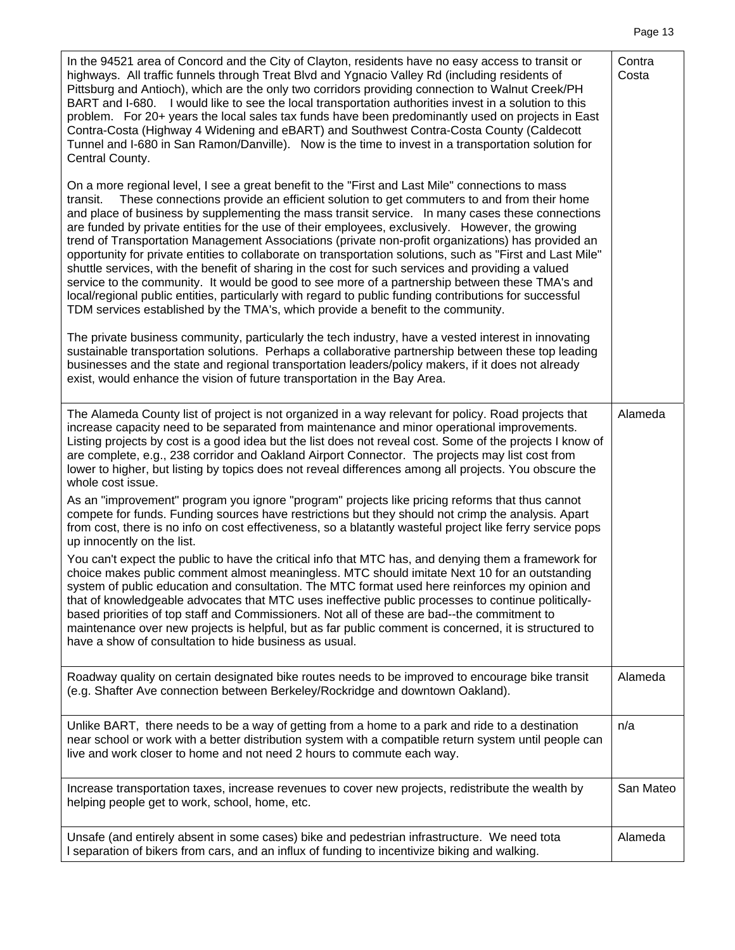| ĸ<br>æ<br>., |  |
|--------------|--|
|              |  |

| In the 94521 area of Concord and the City of Clayton, residents have no easy access to transit or<br>highways. All traffic funnels through Treat Blvd and Ygnacio Valley Rd (including residents of<br>Pittsburg and Antioch), which are the only two corridors providing connection to Walnut Creek/PH<br>BART and I-680. I would like to see the local transportation authorities invest in a solution to this<br>problem. For 20+ years the local sales tax funds have been predominantly used on projects in East<br>Contra-Costa (Highway 4 Widening and eBART) and Southwest Contra-Costa County (Caldecott<br>Tunnel and I-680 in San Ramon/Danville). Now is the time to invest in a transportation solution for<br>Central County.                                                                                                                                                                                                                                                                                                 | Contra<br>Costa |
|---------------------------------------------------------------------------------------------------------------------------------------------------------------------------------------------------------------------------------------------------------------------------------------------------------------------------------------------------------------------------------------------------------------------------------------------------------------------------------------------------------------------------------------------------------------------------------------------------------------------------------------------------------------------------------------------------------------------------------------------------------------------------------------------------------------------------------------------------------------------------------------------------------------------------------------------------------------------------------------------------------------------------------------------|-----------------|
| On a more regional level, I see a great benefit to the "First and Last Mile" connections to mass<br>These connections provide an efficient solution to get commuters to and from their home<br>transit.<br>and place of business by supplementing the mass transit service. In many cases these connections<br>are funded by private entities for the use of their employees, exclusively. However, the growing<br>trend of Transportation Management Associations (private non-profit organizations) has provided an<br>opportunity for private entities to collaborate on transportation solutions, such as "First and Last Mile"<br>shuttle services, with the benefit of sharing in the cost for such services and providing a valued<br>service to the community. It would be good to see more of a partnership between these TMA's and<br>local/regional public entities, particularly with regard to public funding contributions for successful<br>TDM services established by the TMA's, which provide a benefit to the community. |                 |
| The private business community, particularly the tech industry, have a vested interest in innovating<br>sustainable transportation solutions. Perhaps a collaborative partnership between these top leading<br>businesses and the state and regional transportation leaders/policy makers, if it does not already<br>exist, would enhance the vision of future transportation in the Bay Area.                                                                                                                                                                                                                                                                                                                                                                                                                                                                                                                                                                                                                                              |                 |
| The Alameda County list of project is not organized in a way relevant for policy. Road projects that<br>increase capacity need to be separated from maintenance and minor operational improvements.<br>Listing projects by cost is a good idea but the list does not reveal cost. Some of the projects I know of<br>are complete, e.g., 238 corridor and Oakland Airport Connector. The projects may list cost from<br>lower to higher, but listing by topics does not reveal differences among all projects. You obscure the<br>whole cost issue.                                                                                                                                                                                                                                                                                                                                                                                                                                                                                          | Alameda         |
| As an "improvement" program you ignore "program" projects like pricing reforms that thus cannot<br>compete for funds. Funding sources have restrictions but they should not crimp the analysis. Apart<br>from cost, there is no info on cost effectiveness, so a blatantly wasteful project like ferry service pops<br>up innocently on the list.                                                                                                                                                                                                                                                                                                                                                                                                                                                                                                                                                                                                                                                                                           |                 |
| You can't expect the public to have the critical info that MTC has, and denying them a framework for<br>choice makes public comment almost meaningless. MTC should imitate Next 10 for an outstanding<br>system of public education and consultation. The MTC format used here reinforces my opinion and<br>that of knowledgeable advocates that MTC uses ineffective public processes to continue politically-<br>based priorities of top staff and Commissioners. Not all of these are bad--the commitment to<br>maintenance over new projects is helpful, but as far public comment is concerned, it is structured to<br>have a show of consultation to hide business as usual.                                                                                                                                                                                                                                                                                                                                                          |                 |
| Roadway quality on certain designated bike routes needs to be improved to encourage bike transit<br>(e.g. Shafter Ave connection between Berkeley/Rockridge and downtown Oakland).                                                                                                                                                                                                                                                                                                                                                                                                                                                                                                                                                                                                                                                                                                                                                                                                                                                          | Alameda         |
| Unlike BART, there needs to be a way of getting from a home to a park and ride to a destination<br>near school or work with a better distribution system with a compatible return system until people can<br>live and work closer to home and not need 2 hours to commute each way.                                                                                                                                                                                                                                                                                                                                                                                                                                                                                                                                                                                                                                                                                                                                                         | n/a             |
| Increase transportation taxes, increase revenues to cover new projects, redistribute the wealth by<br>helping people get to work, school, home, etc.                                                                                                                                                                                                                                                                                                                                                                                                                                                                                                                                                                                                                                                                                                                                                                                                                                                                                        | San Mateo       |
| Unsafe (and entirely absent in some cases) bike and pedestrian infrastructure. We need tota<br>I separation of bikers from cars, and an influx of funding to incentivize biking and walking.                                                                                                                                                                                                                                                                                                                                                                                                                                                                                                                                                                                                                                                                                                                                                                                                                                                | Alameda         |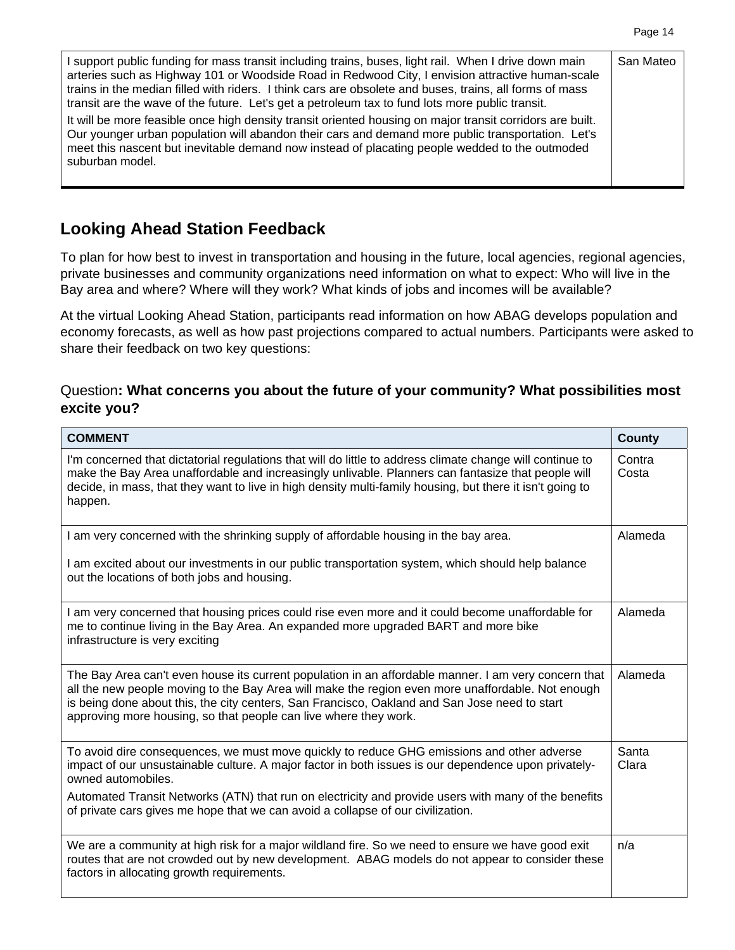| I support public funding for mass transit including trains, buses, light rail. When I drive down main<br>arteries such as Highway 101 or Woodside Road in Redwood City, I envision attractive human-scale<br>trains in the median filled with riders. I think cars are obsolete and buses, trains, all forms of mass<br>transit are the wave of the future. Let's get a petroleum tax to fund lots more public transit. | San Mateo |
|-------------------------------------------------------------------------------------------------------------------------------------------------------------------------------------------------------------------------------------------------------------------------------------------------------------------------------------------------------------------------------------------------------------------------|-----------|
| It will be more feasible once high density transit oriented housing on major transit corridors are built.<br>Our younger urban population will abandon their cars and demand more public transportation. Let's<br>meet this nascent but inevitable demand now instead of placating people wedded to the outmoded<br>suburban model.                                                                                     |           |

### **Looking Ahead Station Feedback**

To plan for how best to invest in transportation and housing in the future, local agencies, regional agencies, private businesses and community organizations need information on what to expect: Who will live in the Bay area and where? Where will they work? What kinds of jobs and incomes will be available?

At the virtual Looking Ahead Station, participants read information on how ABAG develops population and economy forecasts, as well as how past projections compared to actual numbers. Participants were asked to share their feedback on two key questions:

#### Question**: What concerns you about the future of your community? What possibilities most excite you?**

| <b>COMMENT</b>                                                                                                                                                                                                                                                                                                                                                                 | <b>County</b>   |
|--------------------------------------------------------------------------------------------------------------------------------------------------------------------------------------------------------------------------------------------------------------------------------------------------------------------------------------------------------------------------------|-----------------|
| I'm concerned that dictatorial regulations that will do little to address climate change will continue to<br>make the Bay Area unaffordable and increasingly unlivable. Planners can fantasize that people will<br>decide, in mass, that they want to live in high density multi-family housing, but there it isn't going to<br>happen.                                        | Contra<br>Costa |
| I am very concerned with the shrinking supply of affordable housing in the bay area.<br>I am excited about our investments in our public transportation system, which should help balance<br>out the locations of both jobs and housing.                                                                                                                                       | Alameda         |
|                                                                                                                                                                                                                                                                                                                                                                                |                 |
| I am very concerned that housing prices could rise even more and it could become unaffordable for<br>me to continue living in the Bay Area. An expanded more upgraded BART and more bike<br>infrastructure is very exciting                                                                                                                                                    | Alameda         |
| The Bay Area can't even house its current population in an affordable manner. I am very concern that<br>all the new people moving to the Bay Area will make the region even more unaffordable. Not enough<br>is being done about this, the city centers, San Francisco, Oakland and San Jose need to start<br>approving more housing, so that people can live where they work. | Alameda         |
| To avoid dire consequences, we must move quickly to reduce GHG emissions and other adverse<br>impact of our unsustainable culture. A major factor in both issues is our dependence upon privately-<br>owned automobiles.                                                                                                                                                       | Santa<br>Clara  |
| Automated Transit Networks (ATN) that run on electricity and provide users with many of the benefits<br>of private cars gives me hope that we can avoid a collapse of our civilization.                                                                                                                                                                                        |                 |
| We are a community at high risk for a major wildland fire. So we need to ensure we have good exit<br>routes that are not crowded out by new development. ABAG models do not appear to consider these<br>factors in allocating growth requirements.                                                                                                                             | n/a             |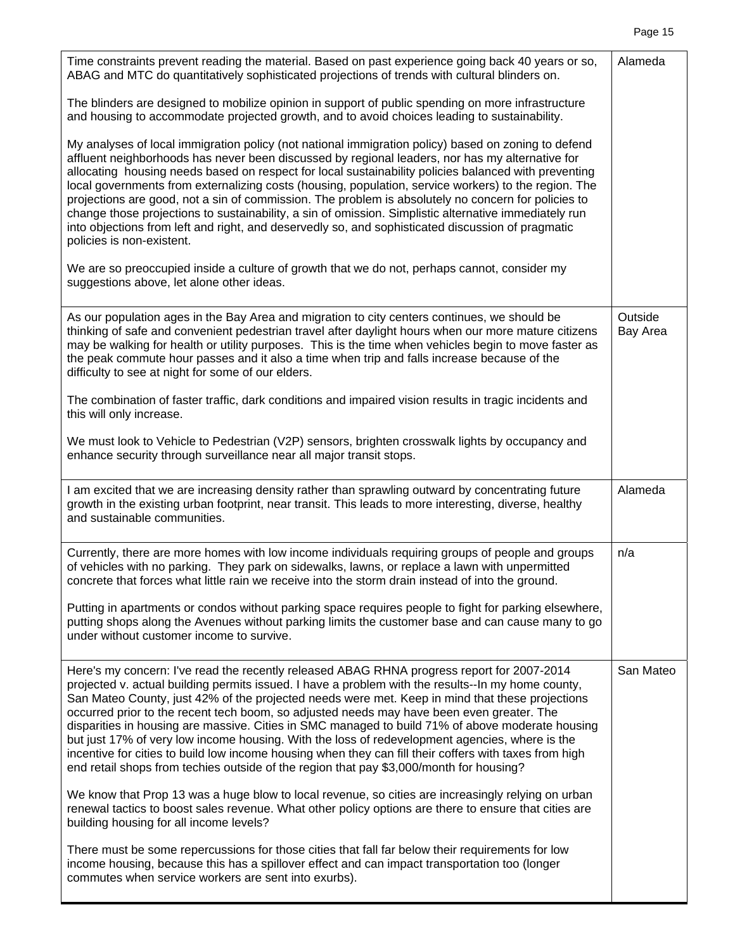| Time constraints prevent reading the material. Based on past experience going back 40 years or so,<br>ABAG and MTC do quantitatively sophisticated projections of trends with cultural blinders on.                                                                                                                                                                                                                                                                                                                                                                                                                                                                                                                                                                                                         | Alameda             |
|-------------------------------------------------------------------------------------------------------------------------------------------------------------------------------------------------------------------------------------------------------------------------------------------------------------------------------------------------------------------------------------------------------------------------------------------------------------------------------------------------------------------------------------------------------------------------------------------------------------------------------------------------------------------------------------------------------------------------------------------------------------------------------------------------------------|---------------------|
| The blinders are designed to mobilize opinion in support of public spending on more infrastructure<br>and housing to accommodate projected growth, and to avoid choices leading to sustainability.                                                                                                                                                                                                                                                                                                                                                                                                                                                                                                                                                                                                          |                     |
| My analyses of local immigration policy (not national immigration policy) based on zoning to defend<br>affluent neighborhoods has never been discussed by regional leaders, nor has my alternative for<br>allocating housing needs based on respect for local sustainability policies balanced with preventing<br>local governments from externalizing costs (housing, population, service workers) to the region. The<br>projections are good, not a sin of commission. The problem is absolutely no concern for policies to<br>change those projections to sustainability, a sin of omission. Simplistic alternative immediately run<br>into objections from left and right, and deservedly so, and sophisticated discussion of pragmatic<br>policies is non-existent.                                    |                     |
| We are so preoccupied inside a culture of growth that we do not, perhaps cannot, consider my<br>suggestions above, let alone other ideas.                                                                                                                                                                                                                                                                                                                                                                                                                                                                                                                                                                                                                                                                   |                     |
| As our population ages in the Bay Area and migration to city centers continues, we should be<br>thinking of safe and convenient pedestrian travel after daylight hours when our more mature citizens<br>may be walking for health or utility purposes. This is the time when vehicles begin to move faster as<br>the peak commute hour passes and it also a time when trip and falls increase because of the<br>difficulty to see at night for some of our elders.                                                                                                                                                                                                                                                                                                                                          | Outside<br>Bay Area |
| The combination of faster traffic, dark conditions and impaired vision results in tragic incidents and<br>this will only increase.                                                                                                                                                                                                                                                                                                                                                                                                                                                                                                                                                                                                                                                                          |                     |
| We must look to Vehicle to Pedestrian (V2P) sensors, brighten crosswalk lights by occupancy and<br>enhance security through surveillance near all major transit stops.                                                                                                                                                                                                                                                                                                                                                                                                                                                                                                                                                                                                                                      |                     |
| I am excited that we are increasing density rather than sprawling outward by concentrating future<br>growth in the existing urban footprint, near transit. This leads to more interesting, diverse, healthy<br>and sustainable communities.                                                                                                                                                                                                                                                                                                                                                                                                                                                                                                                                                                 | Alameda             |
| Currently, there are more homes with low income individuals requiring groups of people and groups<br>of vehicles with no parking. They park on sidewalks, lawns, or replace a lawn with unpermitted<br>concrete that forces what little rain we receive into the storm drain instead of into the ground.                                                                                                                                                                                                                                                                                                                                                                                                                                                                                                    | n/a                 |
| Putting in apartments or condos without parking space requires people to fight for parking elsewhere,<br>putting shops along the Avenues without parking limits the customer base and can cause many to go<br>under without customer income to survive.                                                                                                                                                                                                                                                                                                                                                                                                                                                                                                                                                     |                     |
| Here's my concern: I've read the recently released ABAG RHNA progress report for 2007-2014<br>projected v. actual building permits issued. I have a problem with the results--In my home county,<br>San Mateo County, just 42% of the projected needs were met. Keep in mind that these projections<br>occurred prior to the recent tech boom, so adjusted needs may have been even greater. The<br>disparities in housing are massive. Cities in SMC managed to build 71% of above moderate housing<br>but just 17% of very low income housing. With the loss of redevelopment agencies, where is the<br>incentive for cities to build low income housing when they can fill their coffers with taxes from high<br>end retail shops from techies outside of the region that pay \$3,000/month for housing? | San Mateo           |
| We know that Prop 13 was a huge blow to local revenue, so cities are increasingly relying on urban<br>renewal tactics to boost sales revenue. What other policy options are there to ensure that cities are<br>building housing for all income levels?                                                                                                                                                                                                                                                                                                                                                                                                                                                                                                                                                      |                     |
| There must be some repercussions for those cities that fall far below their requirements for low<br>income housing, because this has a spillover effect and can impact transportation too (longer<br>commutes when service workers are sent into exurbs).                                                                                                                                                                                                                                                                                                                                                                                                                                                                                                                                                   |                     |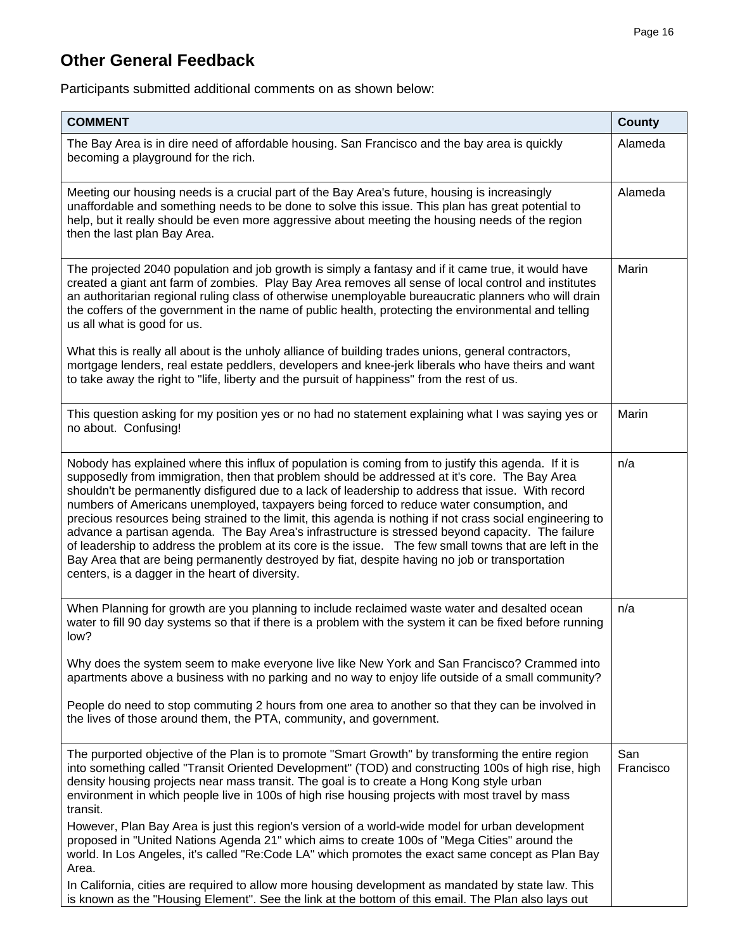# **Other General Feedback**

Participants submitted additional comments on as shown below:

| <b>COMMENT</b>                                                                                                                                                                                                                                                                                                                                                                                                                                                                                                                                                                                                                                                                                                                                                                                                                                                                            | <b>County</b>    |
|-------------------------------------------------------------------------------------------------------------------------------------------------------------------------------------------------------------------------------------------------------------------------------------------------------------------------------------------------------------------------------------------------------------------------------------------------------------------------------------------------------------------------------------------------------------------------------------------------------------------------------------------------------------------------------------------------------------------------------------------------------------------------------------------------------------------------------------------------------------------------------------------|------------------|
| The Bay Area is in dire need of affordable housing. San Francisco and the bay area is quickly<br>becoming a playground for the rich.                                                                                                                                                                                                                                                                                                                                                                                                                                                                                                                                                                                                                                                                                                                                                      | Alameda          |
| Meeting our housing needs is a crucial part of the Bay Area's future, housing is increasingly<br>unaffordable and something needs to be done to solve this issue. This plan has great potential to<br>help, but it really should be even more aggressive about meeting the housing needs of the region<br>then the last plan Bay Area.                                                                                                                                                                                                                                                                                                                                                                                                                                                                                                                                                    | Alameda          |
| The projected 2040 population and job growth is simply a fantasy and if it came true, it would have<br>created a giant ant farm of zombies. Play Bay Area removes all sense of local control and institutes<br>an authoritarian regional ruling class of otherwise unemployable bureaucratic planners who will drain<br>the coffers of the government in the name of public health, protecting the environmental and telling<br>us all what is good for us.                                                                                                                                                                                                                                                                                                                                                                                                                               | Marin            |
| What this is really all about is the unholy alliance of building trades unions, general contractors,<br>mortgage lenders, real estate peddlers, developers and knee-jerk liberals who have theirs and want<br>to take away the right to "life, liberty and the pursuit of happiness" from the rest of us.                                                                                                                                                                                                                                                                                                                                                                                                                                                                                                                                                                                 |                  |
| This question asking for my position yes or no had no statement explaining what I was saying yes or<br>no about. Confusing!                                                                                                                                                                                                                                                                                                                                                                                                                                                                                                                                                                                                                                                                                                                                                               | Marin            |
| Nobody has explained where this influx of population is coming from to justify this agenda. If it is<br>supposedly from immigration, then that problem should be addressed at it's core. The Bay Area<br>shouldn't be permanently disfigured due to a lack of leadership to address that issue. With record<br>numbers of Americans unemployed, taxpayers being forced to reduce water consumption, and<br>precious resources being strained to the limit, this agenda is nothing if not crass social engineering to<br>advance a partisan agenda. The Bay Area's infrastructure is stressed beyond capacity. The failure<br>of leadership to address the problem at its core is the issue. The few small towns that are left in the<br>Bay Area that are being permanently destroyed by fiat, despite having no job or transportation<br>centers, is a dagger in the heart of diversity. | n/a              |
| When Planning for growth are you planning to include reclaimed waste water and desalted ocean<br>water to fill 90 day systems so that if there is a problem with the system it can be fixed before running<br>low?                                                                                                                                                                                                                                                                                                                                                                                                                                                                                                                                                                                                                                                                        | n/a              |
| Why does the system seem to make everyone live like New York and San Francisco? Crammed into<br>apartments above a business with no parking and no way to enjoy life outside of a small community?                                                                                                                                                                                                                                                                                                                                                                                                                                                                                                                                                                                                                                                                                        |                  |
| People do need to stop commuting 2 hours from one area to another so that they can be involved in<br>the lives of those around them, the PTA, community, and government.                                                                                                                                                                                                                                                                                                                                                                                                                                                                                                                                                                                                                                                                                                                  |                  |
| The purported objective of the Plan is to promote "Smart Growth" by transforming the entire region<br>into something called "Transit Oriented Development" (TOD) and constructing 100s of high rise, high<br>density housing projects near mass transit. The goal is to create a Hong Kong style urban<br>environment in which people live in 100s of high rise housing projects with most travel by mass<br>transit.                                                                                                                                                                                                                                                                                                                                                                                                                                                                     | San<br>Francisco |
| However, Plan Bay Area is just this region's version of a world-wide model for urban development<br>proposed in "United Nations Agenda 21" which aims to create 100s of "Mega Cities" around the<br>world. In Los Angeles, it's called "Re:Code LA" which promotes the exact same concept as Plan Bay<br>Area.                                                                                                                                                                                                                                                                                                                                                                                                                                                                                                                                                                            |                  |
| In California, cities are required to allow more housing development as mandated by state law. This<br>is known as the "Housing Element". See the link at the bottom of this email. The Plan also lays out                                                                                                                                                                                                                                                                                                                                                                                                                                                                                                                                                                                                                                                                                |                  |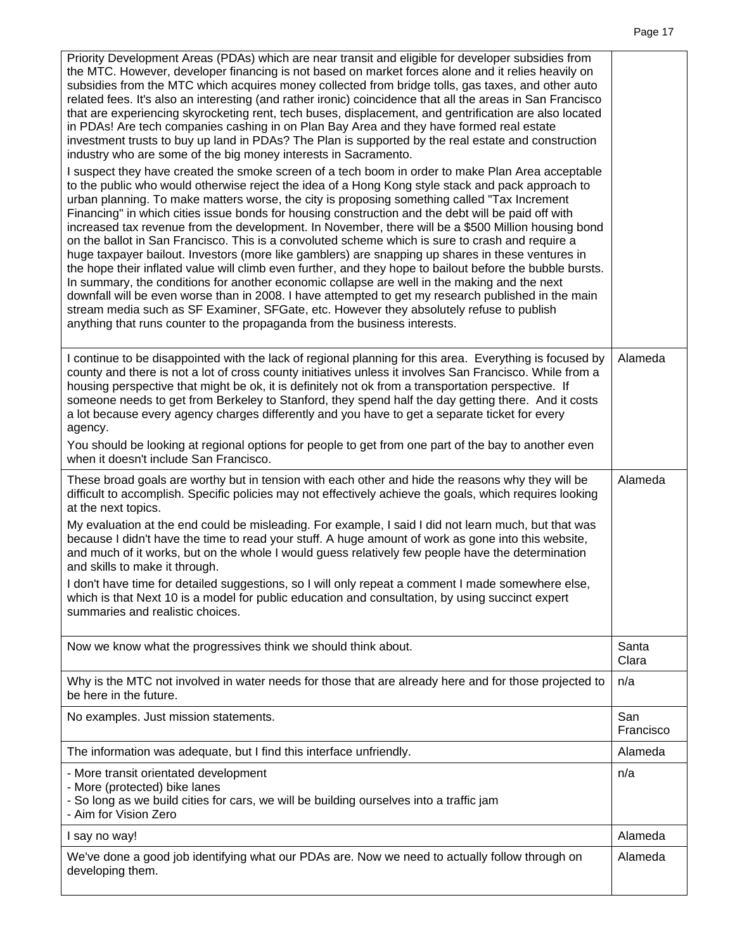Priority Development Areas (PDAs) which are near transit and eligible for developer subsidies from the MTC. However, developer financing is not based on market forces alone and it relies heavily on subsidies from the MTC which acquires money collected from bridge tolls, gas taxes, and other auto related fees. It's also an interesting (and rather ironic) coincidence that all the areas in San Francisco that are experiencing skyrocketing rent, tech buses, displacement, and gentrification are also located in PDAs! Are tech companies cashing in on Plan Bay Area and they have formed real estate investment trusts to buy up land in PDAs? The Plan is supported by the real estate and construction industry who are some of the big money interests in Sacramento. I suspect they have created the smoke screen of a tech boom in order to make Plan Area acceptable to the public who would otherwise reject the idea of a Hong Kong style stack and pack approach to urban planning. To make matters worse, the city is proposing something called "Tax Increment Financing" in which cities issue bonds for housing construction and the debt will be paid off with increased tax revenue from the development. In November, there will be a \$500 Million housing bond on the ballot in San Francisco. This is a convoluted scheme which is sure to crash and require a huge taxpayer bailout. Investors (more like gamblers) are snapping up shares in these ventures in the hope their inflated value will climb even further, and they hope to bailout before the bubble bursts. In summary, the conditions for another economic collapse are well in the making and the next downfall will be even worse than in 2008. I have attempted to get my research published in the main stream media such as SF Examiner, SFGate, etc. However they absolutely refuse to publish anything that runs counter to the propaganda from the business interests. I continue to be disappointed with the lack of regional planning for this area. Everything is focused by county and there is not a lot of cross county initiatives unless it involves San Francisco. While from a housing perspective that might be ok, it is definitely not ok from a transportation perspective. If someone needs to get from Berkeley to Stanford, they spend half the day getting there. And it costs a lot because every agency charges differently and you have to get a separate ticket for every agency. You should be looking at regional options for people to get from one part of the bay to another even when it doesn't include San Francisco. Alameda These broad goals are worthy but in tension with each other and hide the reasons why they will be difficult to accomplish. Specific policies may not effectively achieve the goals, which requires looking at the next topics. My evaluation at the end could be misleading. For example, I said I did not learn much, but that was because I didn't have the time to read your stuff. A huge amount of work as gone into this website, and much of it works, but on the whole I would guess relatively few people have the determination and skills to make it through. I don't have time for detailed suggestions, so I will only repeat a comment I made somewhere else, which is that Next 10 is a model for public education and consultation, by using succinct expert summaries and realistic choices. Alameda Now we know what the progressives think we should think about. Santa Clara Why is the MTC not involved in water needs for those that are already here and for those projected to be here in the future. n/a No examples. Just mission statements. San Francisco The information was adequate, but I find this interface unfriendly. The information was adequate, but I find this interface unfriendly. - More transit orientated development - More (protected) bike lanes - So long as we build cities for cars, we will be building ourselves into a traffic jam - Aim for Vision Zero n/a I say no way! Alameda We've done a good job identifying what our PDAs are. Now we need to actually follow through on developing them. Alameda

Page 17